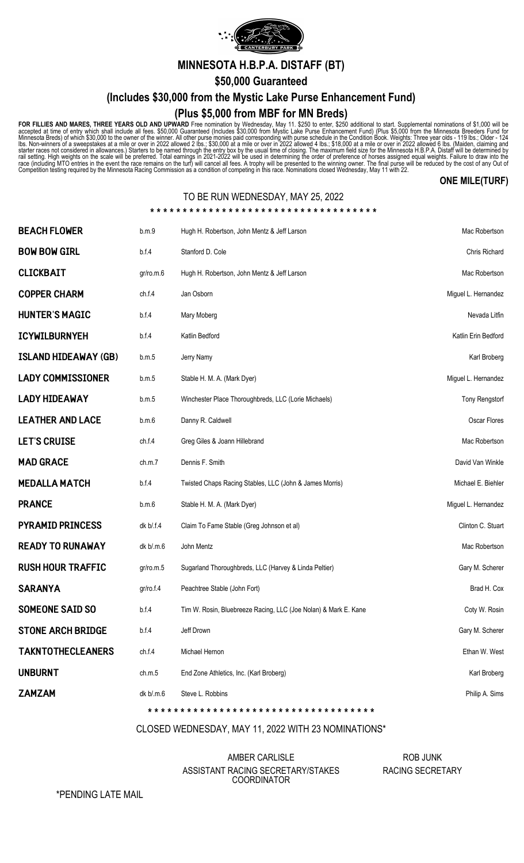

**MINNESOTA H.B.P.A. DISTAFF (BT)**

**\$50,000 Guaranteed**

**(Includes \$30,000 from the Mystic Lake Purse Enhancement Fund)**

## **(Plus \$5,000 from MBF for MN Breds)**

FOR FILLIES AND MARES, THREE YEARS OLD AND UPWARD Free nomination by Wednesday, May 11. \$250 to enter, \$250 additional to start. Supplemental nominations of \$1,000 will be accepted at time of entry which shall include all

### **ONE MILE(TURF)**

## TO BE RUN WEDNESDAY, MAY 25, 2022

| BEACH FLOWER             | b.m.9     | Hugh H. Robertson, John Mentz & Jeff Larson                     | Mac Robertson         |
|--------------------------|-----------|-----------------------------------------------------------------|-----------------------|
| <b>BOW BOW GIRL</b>      | b.f.4     | Stanford D. Cole                                                | <b>Chris Richard</b>  |
| <b>CLICKBAIT</b>         | gr/ro.m.6 | Hugh H. Robertson, John Mentz & Jeff Larson                     | Mac Robertson         |
| COPPER CHARM             | ch.f.4    | Jan Osborn                                                      | Miguel L. Hernandez   |
| HUNTER'S MAGIC           | b.f.4     | Mary Moberg                                                     | Nevada Litfin         |
| ICYWILBURNYEH            | b.f.4     | Katlin Bedford                                                  | Katlin Erin Bedford   |
| ISLAND HIDEAWAY (GB)     | b.m.5     | Jerry Namy                                                      | Karl Broberg          |
| <b>LADY COMMISSIONER</b> | b.m.5     | Stable H. M. A. (Mark Dyer)                                     | Miguel L. Hernandez   |
| LADY HIDEAWAY            | b.m.5     | Winchester Place Thoroughbreds, LLC (Lorie Michaels)            | <b>Tony Rengstort</b> |
| <b>LEATHER AND LACE</b>  | b.m.6     | Danny R. Caldwell                                               | Oscar Flores          |
| <b>LET'S CRUISE</b>      | ch.f.4    | Greg Giles & Joann Hillebrand                                   | Mac Robertson         |
| <b>MAD GRACE</b>         | ch.m.7    | Dennis F. Smith                                                 | David Van Winkle      |
| MEDALLA MATCH            | b.f.4     | Twisted Chaps Racing Stables, LLC (John & James Morris)         | Michael E. Biehler    |
| PRANCE                   | b.m.6     | Stable H. M. A. (Mark Dyer)                                     | Miguel L. Hernandez   |
| PYRAMID PRINCESS         | dk b/.f.4 | Claim To Fame Stable (Greg Johnson et al)                       | Clinton C. Stuart     |
| READY TO RUNAWAY         | dk b/.m.6 | John Mentz                                                      | Mac Robertson         |
| RUSH HOUR TRAFFIC        | gr/ro.m.5 | Sugarland Thoroughbreds, LLC (Harvey & Linda Peltier)           | Gary M. Scherer       |
| SARANYA                  | gr/ro.f.4 | Peachtree Stable (John Fort)                                    | Brad H. Cox           |
| SOMEONE SAID SO          | b.f.4     | Tim W. Rosin, Bluebreeze Racing, LLC (Joe Nolan) & Mark E. Kane | Coty W. Rosin         |
| STONE ARCH BRIDGE        | b.f.4     | Jeff Drown                                                      | Gary M. Scherer       |
| <b>TAKNTOTHECLEANERS</b> | ch.f.4    | Michael Hernon                                                  | Ethan W. West         |
| <b>UNBURNT</b>           | ch.m.5    | End Zone Athletics, Inc. (Karl Broberg)                         | Karl Broberg          |
| ZAMZAM                   | dk b/.m.6 | Steve L. Robbins                                                | Philip A. Sims        |

#### CLOSED WEDNESDAY, MAY 11, 2022 WITH 23 NOMINATIONS\*

**\* \* \* \* \* \* \* \* \* \* \* \* \* \* \* \* \* \* \* \* \* \* \* \* \* \* \* \* \* \* \* \* \* \* \***

#### AMBER CARLISLE ASSISTANT RACING SECRETARY/STAKES COORDINATOR

ROB JUNK RACING SECRETARY

\*PENDING LATE MAIL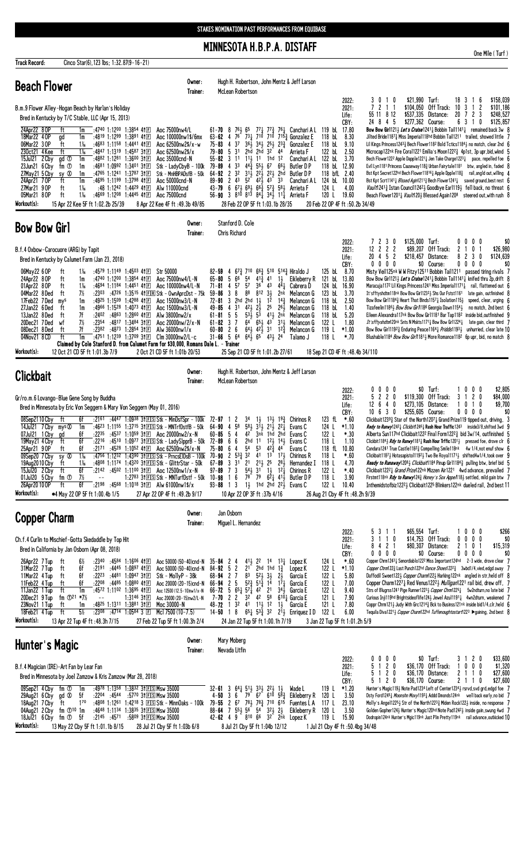# MINNESOTA H.B.P.A. DISTAFF

Track Record:

Cinco Star(6), 123 lbs; 1:32.87(9-16-21)

One Mile (Turf)

| <b>Beach Flower</b>                                                                                                                                                                                                                                                                                                                                                                                                                                                                                                                                                                                                                                                                                                                                                                                                                                                                                                   | Owner:<br>Trainer: | Hugh H. Robertson, John Mentz & Jeff Larson<br>McLean Robertson                                                                                                                                                                                                                                                                                                                                                                                                                                                                                                                                                                                                                                                                                                                                                                                                                                                                                                                                                                                                                                                                                                                                                                                                                                                                                                                                                                                                                                                                                                                                                                                                                                                                                                                                                                                                                                      |
|-----------------------------------------------------------------------------------------------------------------------------------------------------------------------------------------------------------------------------------------------------------------------------------------------------------------------------------------------------------------------------------------------------------------------------------------------------------------------------------------------------------------------------------------------------------------------------------------------------------------------------------------------------------------------------------------------------------------------------------------------------------------------------------------------------------------------------------------------------------------------------------------------------------------------|--------------------|------------------------------------------------------------------------------------------------------------------------------------------------------------------------------------------------------------------------------------------------------------------------------------------------------------------------------------------------------------------------------------------------------------------------------------------------------------------------------------------------------------------------------------------------------------------------------------------------------------------------------------------------------------------------------------------------------------------------------------------------------------------------------------------------------------------------------------------------------------------------------------------------------------------------------------------------------------------------------------------------------------------------------------------------------------------------------------------------------------------------------------------------------------------------------------------------------------------------------------------------------------------------------------------------------------------------------------------------------------------------------------------------------------------------------------------------------------------------------------------------------------------------------------------------------------------------------------------------------------------------------------------------------------------------------------------------------------------------------------------------------------------------------------------------------------------------------------------------------------------------------------------------------|
| B.m.9 Flower Alley-Hogan Beach by Harlan's Holiday<br>Bred in Kentucky by T/C Stable, LLC (Apr 15, 2013)<br>24Apr22 8 OP<br>:4740 1:1200 1:3854 4111<br>ft<br>Aoc 75000nw4/L<br>1m<br>18Mar22 4 OP<br>:4819 1:1299 1:3891 41 $E$<br>Aoc 100000nw1\$/6mx<br>1m                                                                                                                                                                                                                                                                                                                                                                                                                                                                                                                                                                                                                                                         |                    | \$21,990 Turf:<br>\$158,039<br>2022:<br>18 3<br>3010<br>$\overline{1}$<br>6<br>7211<br>\$104,050 Off Track:<br>2<br>10 3 1<br>\$101,186<br>2021:<br>55 11 8 12<br>\$537,335 Distance:<br>20 7 2<br>\$248,527<br>3<br>Life:<br>24 8 4 5<br>\$277,362 Course:<br>6 3 1 0<br>CBY:<br>\$125,857<br>119 bL 17.80<br><b>Bow Bow Girl121</b> <i>Let's Cruise</i> 1241 <del>1</del> Bobbin Tail1141 <i>i</i> remained back 3w 8<br>$61 - 70$ 8<br>$76\frac{1}{2}65$<br>771 773 761 Canchari A L<br>76 731 710 710 7153 Gonzalez E<br>$63 - 62 = 4$<br>118 bL<br>8.30<br>Jilted Bride11873 Miss Imperial118hd Bobbin Tail1211 trailed, showed little 7                                                                                                                                                                                                                                                                                                                                                                                                                                                                                                                                                                                                                                                                                                                                                                                                                                                                                                                                                                                                                                                                                                                                                                                                                                                        |
| gd<br>06Mar22 3 OP<br>1‰<br>:4683 1:1158 1:4441 41 $\mathbb{E}$<br>Aoc 62500nw2\$/x-w<br>ft<br>ft<br>230ct21 4 Kee<br>1‰<br>:4847 1:1319 1:4587 3†国<br>Aoc 62500nw2\$/x<br>15Jul21 2 Cby<br>:4882 1:1281 1:3600 31 $E$<br>gd <sup>T</sup><br>1m<br>Aoc 35000cnd-N<br>23Jun21 6 Cby<br>:4681 1:0992 1:3401 31 $E$<br>fm ①<br>1m<br>Stk - LadyCbyB - 100k<br>27May21 5 Cby<br>:4765 1:1241 1:3787 3111<br>sy ®<br>1m<br>Stk - MnHBPADsfB - 50k<br>ft<br>:4695 1:1199 1:3798 41 $E$<br>Aoc 50000cnd-N<br>24Apr21 70P<br>1m<br>$1\%$<br>27Mar21 90P<br>ft<br>:48 1:1242 1:4429 411回<br>Alw 110000cnd<br>05Mar21 80P<br>ft<br>$1\%$<br>:4669 1:1208 1:4445 41 $E$<br>Aoc 75000cnd<br>Workout(s):<br>15 Apr 22 Kee 5F ft 1:02.2b 25/39<br>8 Apr 22 Kee 4F ft: 49.3b 49/85                                                                                                                                                   |                    | $36\frac{1}{2}$ $34\frac{1}{2}$ $25\frac{1}{2}$ $23\frac{3}{4}$<br>4<br>37<br>118 bL<br>9.10<br>Lil Kings Princess1243 $\frac{3}{4}$ Bech Flower118 <sup>2</sup> Bold Tctics1184 $\frac{1}{2}$ no match, clear 2nd 6<br>$75 - 83$<br>Gonzalez E<br>$79 - 80$ 5 31<br>2hd 2hd<br>32 44<br>122 bL 2.50<br>Arrieta F<br>Microcap122nk Fire Coral1221 Emilia's Moon122 <sup>23</sup> 4p1st, 3p upr,bid, wknd 5<br>$55 - 82$ 3 11<br>$11\frac{1}{2}$ 11<br>1hd 12<br>122 bL 3.70<br>Canchari A L<br>Bech Flower1222 Apple Dapple1221 $\frac{1}{4}$ Jen Take Charge1223 $\frac{1}{4}$ pace, repelled foe $\epsilon$<br>3 <sup>3</sup><br>118 bL 12.90<br>79-89<br>443 554 67<br>$66\frac{1}{2}$<br>Evil Lyn1181 Princess Causeway1183 Urban Fairytale1181 btw, angled in, faded 8<br>4<br>Butler D P<br>3 <sup>2</sup><br>31, 22, 22, 2hd<br>$64 - 92$ 2<br>118 bfL 2.40<br>Butler D P<br>Bst Kpt Secret122hd Bech Flower11816 $\frac{1}{4}$ Apple Dpple118 $\frac{3}{4}$ rail, angld out, willing 4<br>$89 - 90$ 2 43 $52$ 42 $\frac{1}{2}$ 43<br>33<br>124 bL 10.00<br>Bst Kpt Scrt1141 H Blssed Agin1211 H Bech Flower1241 https://www.saved.ground.best rest 6<br>Canchari A L<br>$67\frac{1}{2}$ $69\frac{1}{2}$ $66\frac{3}{4}$ $57\frac{3}{4}$ $58\frac{1}{2}$<br>$43 - 79 = 6$<br>124 L<br>4.00<br>Vault12413 Istan Council12423 Goodbye Earl1193 fell back, no threat 6<br>Arrieta F<br>56-90 3 8 <sup>10</sup> 8 <sup>13</sup> 8 <sup>4</sup> / <sub>4</sub> 3 <sup>4</sup> / <sub>2</sub> 1 <sup>1</sup> / <sub>4</sub> Arrieta F<br>120 L<br>19.60<br>Beach Flower12011 <i>Vault</i> 1201 Blessed Again1208 steered out, with rush 8<br>20 Feb 22 OP 4F ft :50.2b 34/49<br>28 Feb 22 OP 5F ft 1:03.1b 28/35                                                                                                                                                                                    |
| <b>Bow Bow Girl</b>                                                                                                                                                                                                                                                                                                                                                                                                                                                                                                                                                                                                                                                                                                                                                                                                                                                                                                   | Owner:<br>Trainer: | Stanford D. Cole<br><b>Chris Richard</b>                                                                                                                                                                                                                                                                                                                                                                                                                                                                                                                                                                                                                                                                                                                                                                                                                                                                                                                                                                                                                                                                                                                                                                                                                                                                                                                                                                                                                                                                                                                                                                                                                                                                                                                                                                                                                                                             |
| B.f.4 Oxbow-Carocuore (ARG) by Tapit<br>Bred in Kentucky by Calumet Farm (Jan 23, 2018)                                                                                                                                                                                                                                                                                                                                                                                                                                                                                                                                                                                                                                                                                                                                                                                                                               |                    | \$125,000 Turf:<br>0 <sub>0</sub><br>2 3 0<br>0 <sub>0</sub><br>\$0<br>2022:<br>7<br>$12$ 2 2 2<br>\$89,207 Off Track:<br>$\mathbf{2}$<br>0<br>2021:<br>\$26,980<br>$20 \t 4 \t 5 \t 2$<br>$\mathbf{3}$<br>\$218,457 Distance:<br>82<br>0<br>\$124,639<br>Life:<br>$0\,0\,0\,0$<br>\$0 Course:<br>0000<br>\$0<br>CBY:                                                                                                                                                                                                                                                                                                                                                                                                                                                                                                                                                                                                                                                                                                                                                                                                                                                                                                                                                                                                                                                                                                                                                                                                                                                                                                                                                                                                                                                                                                                                                                                |
| $1\%$<br>:4579 1:1149 1:4503 41 $E$<br>Str 50000<br>06May22 6 OP<br>ft<br>:4740 1:1200 1:3854 4111<br>Aoc 75000nw4/L-N<br>24Apr22 80P<br>ft<br>1m<br>01Apr22 8 OP<br>1‰<br>:4694 1:1184 1:4451 41 $E$<br>ft<br>Aoc 100000nw4/L-N<br>04Mar22 8Ded<br>7½<br>:2303 :4726 1:3515 41 E R Stk - Own AprcDst - 75k<br>ft<br>17Feb22 7Ded<br>:4925 1:1509 1:4288 41日<br>Aoc 15000nw3/L-N<br>mys<br>1m<br>:4966 1:1528 1:4073 41 $E$<br>27Jan22 6Ded<br>ft<br>1m<br>Aoc 15000nw3/L-N<br>7f<br>$:2402$ $:4863$ 1:2860 41 E<br>Alw 38000nw2/x<br>13Jan22 8Ded<br>ft<br>20Dec21 7Ded<br>$7\%$<br>$:2354$ $:4817$ $1:3484$ $3$ †E<br>wf<br>Aoc $20000 \text{nw} / 2 / \text{x} - \text{N}$<br>:2382 :4873 1:2854 311<br>08Dec21 8Ded<br>7f<br>ft<br>Alw $36000$ nw $1/x$                                                                                                                                                           |                    | $67\frac{3}{4}$ 710 $66\frac{3}{4}$ 510 514 $\frac{3}{4}$ Hiraldo J<br>125 bL 8.70<br>Misty Veil125nk W W Fitzy12511 Bobbin Tail1211 passed tiring rivals 7<br>$82 - 59$ 4<br>$41\frac{3}{4}$<br>5 <sup>4</sup><br>6 <sup>6</sup><br>121 bL 13.80<br>$65 - 80 = 5$<br>41<br>$1\frac{1}{2}$<br>Eikleberry R<br>Bow Bow Girl1213 Let's Cruise12413 Bobbin Tail11413 knifed thru 2p, drift 8<br>57<br>36 <sup>°</sup><br>$71 - 81$ 4<br>57<br>43<br>441<br>124 bL 16.90<br>Cabrera D<br>Maracuja1172 Lil Kings Princess1241 Miss Imperial11711 rail, flattened out 6<br>88<br>8<br>$8^{12}$ $3^{1}_{2}$<br>123 bL<br>3.70<br>$59 - 86$<br>3<br>It'sfftyshdtm118nk Bow Bow Girl12321 Shs Our Fstst1161<br>2nk<br>Melancon G<br>late gain, outfinished 8<br>$1^{\overline{2}}$<br>$2hd$ $2hd$ $1\frac{1}{2}$<br>$14\frac{3}{4}$<br>118 bL<br>2.50<br>$72 - 81$ 3<br>Melancon G<br>Bow Bow Girl11843 Heart That Binds11571 Isolation1151<br>speed, clear, urging 6<br>3 <sup>1</sup><br>$42\frac{1}{2}$<br>$49 - 85 = 4$<br>25<br>$2\frac{1}{2}$<br>$26\frac{1}{2}$<br>Melancon G<br>118 bL<br>1.40<br>Tizafeelin11863 Bow Bow Girl186 Georgia Dawn11543<br>no match, 2nd best 6<br>5<br>$53\frac{1}{2}$ $5\frac{5}{3}$ $41\frac{1}{2}$ $2n\bar{k}$ Melancon G<br>64 $65\frac{1}{2}$ $43$ $31\frac{1}{2}$ Melancon G<br>5.20<br>$61 - 81 = 5$<br>118 bL<br>Eileen Alexandra117nk Bow Bow Girl1181 Bar Tap118 <sup>2</sup> inside bid, outfinished 9<br>122 L<br>$61 - 82$ 3 7<br>1.80<br>It'sfftyshdtm120nk Snts N Mskts1171 <sup>1</sup> Bow Bow Gr11224 <sup>1</sup><br>late gain, clear third 7<br>$60 - 80$ 2 6<br>$64\frac{1}{2}$ $42\frac{1}{2}$ $31$ $12\frac{3}{2}$<br>119 L<br>Melancon G<br>*1.00<br>Bow Bow Girl11923 Enduring Peace11641 Priddis11931<br>unhurried, clear late 10                                                                                                              |
| :4751 1:1239 1:3709 31 $E$ Clm 30000nw2/L-c<br>04Nov21 8 CD<br>ft<br>1m<br>Claimed by Cole Stanford D. from Calumet Farm for \$30,000, Romans Dale L. - Trainer<br>Workout(s):<br>12 Oct 21 CD 5F ft 1:01.3b 7/9<br>2 Oct 21 CD 5F ft 1:01b 20/53                                                                                                                                                                                                                                                                                                                                                                                                                                                                                                                                                                                                                                                                     |                    | $31 - 66$ 5 64 64 $\frac{1}{2}$ 6 <sup>5</sup> 4 <sup>3</sup> $\frac{1}{2}$ 24<br>118 L<br>*.70<br>Blushable1184 Bow Bow Girl1811 More Romance1182 6p upr, bid, no match 8<br>Talamo J<br>25 Sep 21 CD 5F ft 1:01.2b 27/61<br>18 Sep 21 CD 4F ft: 48.4b 34/110                                                                                                                                                                                                                                                                                                                                                                                                                                                                                                                                                                                                                                                                                                                                                                                                                                                                                                                                                                                                                                                                                                                                                                                                                                                                                                                                                                                                                                                                                                                                                                                                                                       |
| <b>Clickbait</b>                                                                                                                                                                                                                                                                                                                                                                                                                                                                                                                                                                                                                                                                                                                                                                                                                                                                                                      | Owner:<br>Trainer: | Hugh H. Robertson, John Mentz & Jeff Larson<br>McLean Robertson                                                                                                                                                                                                                                                                                                                                                                                                                                                                                                                                                                                                                                                                                                                                                                                                                                                                                                                                                                                                                                                                                                                                                                                                                                                                                                                                                                                                                                                                                                                                                                                                                                                                                                                                                                                                                                      |
| Gr/ro.m.6 Lovango-Blue Gene Song by Buddha<br>Bred in Minnesota by Eric Von Seggern & Mary Von Seggern (May 01, 2016)                                                                                                                                                                                                                                                                                                                                                                                                                                                                                                                                                                                                                                                                                                                                                                                                 |                    | 0<br>$0\,$ $0\,$ $0\,$<br>\$0 Turf:<br>10<br>$0\quad 0$<br>\$2,805<br>2022:<br>\$84,000<br>5<br>220<br>\$119,300 Off Track:<br>$\overline{c}$<br>3<br>0<br>2021:<br>$12 \t6 \t4 \t0$<br>\$273,105 Distance:<br>\$9,700<br>$0$ 1 0<br>Life:<br>$10 \t6 \t3 \t0$<br>$0\ 0\ 0\ 0$<br>\$0<br>CBY:<br>\$255.605 Course:                                                                                                                                                                                                                                                                                                                                                                                                                                                                                                                                                                                                                                                                                                                                                                                                                                                                                                                                                                                                                                                                                                                                                                                                                                                                                                                                                                                                                                                                                                                                                                                   |
| 08Sep2110Cby<br>$:21^{61}$ $:44^{47}$ 1:0938 31 EIS Stk - MinDsfSpr - 100k 72-97 1<br>ft<br>6f<br>:4623 1:1155 1:3715 31 $E \simeq$ Stk - MNTrfDstfB - 50k<br>14Jul21 7 Cby mys <sup>®</sup><br>1m<br>:2235 :4537 1:1059 31 E Aoc 20000nw2/x-N<br>07Jul21 1 Cby<br>6f<br>gd<br>6f<br>ft<br>:2216 :4510 1:0977 31 E Stk - Lady SlpprB - 50k 72-89 6 6<br>19May21 4 Cby<br>6f<br>:2171 :4528 1:1052 41 $E$ Aoc 62500nw2\$/x-N<br>25Apr21 9 OP<br>ft<br>$1\%$<br>09Sep20 7Cby sy <sup>®</sup><br>:4808 1:1174 1:4320 31 ES Stk - GlittrStar - 50k<br>19Aug2010 Cby<br>ft<br>1 X <sub>6</sub><br>15Jul20 2 Cby<br>ft<br>6f<br>:2142 :4502 1:1100 31 Aoc 12500nw1/x-N<br>$01$ Jul $20$ $5$ Cby<br>7½<br>1:2783 31ES Stk - MNTurfDstf - 50k 10-98 1 6<br>fm ①<br>6f<br>ft<br>:2198 :4568 1:1018 31 $E$ Alw 61000nw1\$/x<br>26Apr20 10 OP<br>Workout(s):<br>•4 May 22 OP 5F ft 1:00.4b 1/5<br>27 Apr 22 OP 4F ft :49.2b 9/17 |                    | $\mathbf{2}$<br>$3^4$ $1^1$<br>$13\frac{1}{2}$<br>$19\frac{3}{7}$<br><b>Chirinos R</b><br>123 fL *.60<br>Clickbait1239 $\frac{3}{4}$ Star of the North1207 $\frac{1}{4}$ Grand Prize119 tipped out, driving, 3<br>$58\frac{1}{2}$ $3\overline{1}\frac{1}{2}$ $21\overline{1}$<br>58<br>221<br>124 L<br>$*1.10$<br>Redy to Runwy1242 3 Clickbit1246 3 Rush Hour Traffic1243 inside3/8, shifted 3wd 9<br>64-904<br>Evans C<br>$60 - 85$ 5 4<br>42 3nk 1hd 2hd<br>122 L<br>$*.30$<br>Evans C<br>Alberta Sun117hd Clickbait1222 Final Form1222 $\frac{3}{4}$ bid 3w/14, outfinished 5<br>2hd 11<br>121, 141,<br>118 L<br>1.10<br>Evans C<br>Clickbit11843 <i>Rdy to Runwy</i> 1181 <sub>4</sub> Rush Hour Trffic12013 pressed foe, drove clr 6<br>54 53<br>118 fL 10.80<br>$75 - 80 = 64$<br>423, 44<br>Candura1241 True Castle11823 Compelling Smile118nk 4w 1/4, not enuf show 6<br>Evans C<br>:4756 1:1232 1:4390 31 EIS Stk - Prncs EIDs B - 100k 70-90 2 53 32 41 13 17 3 Chirinos R<br>118 L<br>Clickbait1187} Hotasapistol1192} Two Be Royal1171} shifted4w1/4, took over 9<br>$*.60$<br>$67-89$ 3 31 21 21 25 28 3<br>118 L<br><i>Ready to Runaway</i> 1208 <sub>3</sub> <i>Clickbait</i> 184 Pinup Girl1184 <sub>3</sub> pulling btw, brief bid 5<br>Hernandez I<br>4.70<br>Clickbait12221 Grand Prize122nk Mizzen Air1221 4wd advance, prevailed 7<br>$97 - 89$ 7 3<br>$54\frac{1}{2}$ 31 $1\frac{1}{2}$ 12 $\frac{1}{4}$<br>122 L<br>$*40$<br>Chirinos R<br>$7^8$ 79 $6^2$ 41 <sup>1</sup> / <sub>2</sub><br>118L<br>3.90<br>Firstmt118nk Rdy to Runwy124 $\frac{3}{4}$ Honey's Sox Appe/118 $\frac{1}{2}$ settled, mild gain btw 7<br>Butler D P<br>93-88 1 3 1 $\frac{1}{2}$ 1hd 2hd 2 <sup>2</sup> $\frac{1}{2}$ Evans C<br>122 L<br>Inthemidstofbiz12223 Clickbait1225 Blinkers122nk dueled rail, 2nd best 11<br>10.40<br>10 Apr 22 OP 3F ft: 37b 4/16<br>26 Aug 21 Cby 4F ft :48.2h 9/39 |
| <b>Copper Charm</b>                                                                                                                                                                                                                                                                                                                                                                                                                                                                                                                                                                                                                                                                                                                                                                                                                                                                                                   | Owner:<br>Trainer: | Jan Osborn<br>Miguel L. Hernandez                                                                                                                                                                                                                                                                                                                                                                                                                                                                                                                                                                                                                                                                                                                                                                                                                                                                                                                                                                                                                                                                                                                                                                                                                                                                                                                                                                                                                                                                                                                                                                                                                                                                                                                                                                                                                                                                    |
| Ch.f.4 Curlin to Mischief-Gotta Skedaddle by Top Hit<br>Bred in California by Jan Osborn (Apr 08, 2018)<br>$:23^{40}$ $:45^{84}$ 1:1606 41 E<br>26Apr22 7 Tup<br>Aoc 50000 (50-40)cnd-N<br>ft<br>6½<br>31Mar22 7 Tup<br>$:2191$ $:4445$ $1:0897$ 41 E<br>6f<br>Aoc 50000 (50-40)cnd-N<br>ft<br>11Mar22 4 Tup<br>$:22^{23}$ $:44^{81}$ 1:0947 31 E<br>Stk - MollyP - 38k<br>ft<br>6f<br>11Feb22 4 Tup<br>$:22^{08}$ $:44^{85}$ 1:0880 41 E<br>Aoc 20000 (20-15)cnd-N<br>ft<br>6f<br>:4572 1:1102 1:3695 41 $E$<br>11Jan22 1 Tup<br>ft<br>1m<br>Aoc 12500 (12.5-10)nw1/x-N<br>fm $\Phi^{21}$ *7%<br>1:3146 31日<br>20Dec21 9 Tup<br>Aoc 20000 (20-15)nw2/L-N<br>:4825 1:1311 1:3881 3†国<br>Moc 30000-N<br>23Nov21 1 Tup<br>ft<br>1m<br>5½<br>18Feb21 4 Tup<br>ft<br>:2308 :4714 1:0584 3 $\Box$<br>Mcl 7500 (10-7.5)<br>Workout(s):<br>13 Apr 22 Tup 4F ft: 48.3h 7/15<br>27 Feb 22 Tup 5F ft 1:00.3h 2/4                |                    | \$65,554 Turf:<br>2022:<br>$0\quad 0$<br>\$266<br>5 3 1 1<br>10<br>3 1 1 0<br>\$14,753 Off Track:<br>$0\,0\,0\,0$<br>\$0<br>2021:<br>\$15,319<br>8421<br>\$80,307 Distance:<br>2 1 0 1<br>Life:<br>$0\,0\,0\,0$<br>\$0 Course:<br>$0\ 0\ 0$<br>0<br>\$0<br>CBY:<br>124 L<br>$*.60$<br>Copper Chrm12431 Senordiablo1222 Miss Important124hd 2-3 wide, drove clear 7<br>$35 - 84$ 2 4<br>41, 22<br>$13\frac{1}{4}$ Lopez K<br>14<br>$21$ 2hd 1hd<br>$84 - 92$ 5 2<br>122 L<br>Copper Chrm1223 Last Punch122hd Dance Shoes12223 3wbd1/4, vied, edgd away 7<br>$1\frac{3}{4}$<br>*1.10<br>Lopez K<br>Daffodil Sweet1221 Copper Charm1221 Harking122nk angled in str, held off 8<br>$68 - 94$ 2 7<br>$8^3$ $5^2$ $3^1$<br>$5^2$ $5^3$ $1^3$ $1^4$<br>$2\frac{1}{2}$<br>122 L<br>5.80<br>Garcia E<br>$66 - 94$ 2 5<br>$1^{7}$<br>122 L<br>Garcia E<br>7.00<br>Copper Charm12271 Red Venus12221 <i>Mulligan</i> 1221 rail bid, drew off, 7<br>$66 - 72$ 5 $65\frac{1}{4}$ 57 $\frac{1}{4}$ 42 21<br>$34\frac{1}{2}$<br>122 L<br>Garcia E<br>9.40<br>Strs of Blugrss1241 Pige Runner12233 Copper Chrm12253 5w2ndturn,no late bid 7<br>7-70 2 2 32 42 58 6101 Garcia E<br>121 L<br>7.90<br>Curious Inji119hd Brightsideoflife124 $\frac{1}{2}$ Jewel Azul1191 $\frac{1}{4}$ 4wn2dturn, weakened 7<br>48-72 1 3 <sup>2</sup> 41 1 <sup>1</sup> 1 <sup>2</sup> 1 <sup>3</sup> Garcia E<br>121 L<br>7.80<br>Coppr Chrm121 $\frac{1}{2}$ Judy With Grc1214 $\frac{3}{4}$ Bck to Businss121nk inside bid1/4,clr, held 6<br>14-50 1 8 $65\frac{1}{4}$ 5 <sup>3</sup> $\frac{3}{4}$ 3 <sup>2</sup> 2 <sup>1</sup> $\frac{1}{2}$ Enriquez ID<br>122 L<br>6.00<br>Tequila Diva12213 Copper Charm122hd Tuffenoughtostart1223 ▶ gaining, 2nd best 8<br>3 Jan 22 Tup 5F ft 1:01.2h 5/9<br>24 Jan 22 Tup 5F ft 1:00.1h 7/19                                                                                                |
| Hunter's Magic                                                                                                                                                                                                                                                                                                                                                                                                                                                                                                                                                                                                                                                                                                                                                                                                                                                                                                        | Owner:<br>Trainer: | Mary Moberg<br>Nevada Litfin                                                                                                                                                                                                                                                                                                                                                                                                                                                                                                                                                                                                                                                                                                                                                                                                                                                                                                                                                                                                                                                                                                                                                                                                                                                                                                                                                                                                                                                                                                                                                                                                                                                                                                                                                                                                                                                                         |
| B.f.4 Magician (IRE)-Art Fan by Lear Fan<br>Bred in Minnesota by Joel Zamzow & Kris Zamzow (Mar 28, 2018)<br>:4978 1:1358 1:3832 31 ES Msw 35000<br>09Sep21 4 Cby fm ①<br>1m<br>:2204 :4544 :5770 31 ES Msw 35000<br>29Aug21 6 Cby<br>gd Ø<br>-5f<br>$1^{70}$<br>:4808 1:1261 1:4218 3 ESStk - MinnOaks - 100k<br>18Aug21 7 Cby<br>ft<br>04Aug21 2 Cby fm 10 10 1m<br>:4648 1:1134 1:3835 3↑ EIS Msw 35000<br>18Jul21 6 Cby fm 1 5f<br>:2145 :4571 :5809 31ES Msw 35000<br>Workout(s):<br>13 May 22 Cby 5F ft 1:01.1b 8/15<br>28 Jul 21 Cby 5F ft 1:03b 6/8                                                                                                                                                                                                                                                                                                                                                           |                    | \$0 Turf:<br>3 1 2 0<br>\$33,600<br>$0\ 0\ 0$<br>2022:<br>0<br>5 1 2 0<br>\$36,170 Off Track:<br>$0\ 0\ 0$<br>\$1,320<br>2021:<br>1<br>\$27,600<br>5<br>120<br>\$36,170 Distance:<br>2 1 1<br>Life:<br>0<br>CBY:<br>5 1 2 0<br>\$36,170 Course:<br>2 1 1 0<br>\$27,600<br>$32 - 61$ 3 $64\frac{1}{4}$ $51\frac{1}{2}$ $33\frac{1}{2}$ $22\frac{1}{2}$ $1\frac{1}{2}$<br>119 L<br>*1.20<br>Wade L<br>Hunter's Magic1193 Note Pad1234 Left of Center12343 rsrvd, svd grd, edgd foe 7<br>4-50 3 6 $79^{\degree}$ 67 610 $5\bar{8}\frac{3}{4}$<br>Eikleberry R<br>Dsty Ford12451 Moonshn Moxy11931 Addd Dmonds124nk well back early, no bid 7<br>120 L<br>3.50<br>79-55 2 67 78 78 78 710 615 Fuentes L A<br>23.10<br>Molly's Angel12251 Str of the North12233 Miden Rock1221 inside, no response 7<br>117 L<br>$88-64$ 7 $55\frac{1}{2}$ $56$ $54$ $32\frac{1}{2}$ $2\frac{1}{2}$<br>120 L<br>3.50<br>Eikleberry R<br>Golden Gopher1243 Hunter's Magic120hd Note Pad12423 inside gain, swung 4wd 7<br>42-62 4 9 810 66 32 2nk Lopez K<br>119 L 15.90<br>Dodropin124nk Hunter's Mgic119nk Just Plin Pretty119nk rail advance, outkicked 10<br>8 Jul 21 Cby 5F ft 1:04b 12/12<br>1 Jul 21 Cby 4F ft :50.4bg 34/48                                                                                                                                                                                                                                                                                                                                                                                                                                                                                                                                                                                                                                                                                         |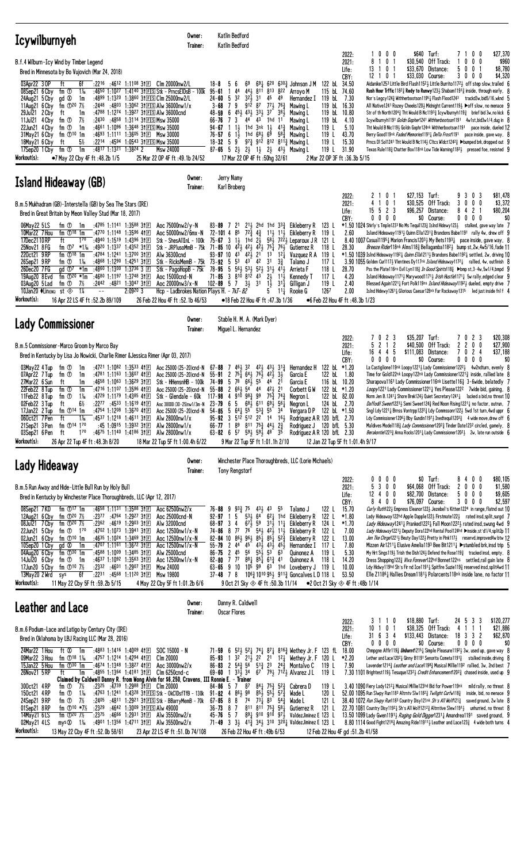| <b>Icywilburnyeh</b>                                                                                                                                                                                                                                                                                                                                                                                                                                                                                                                                                                                                                                                                                                                                                                                                                                                                                                                                         | Owner:<br>Trainer:                                                                                                                                                                                                                                                                                                                                                                                                    | Katlin Bedford<br>Katlin Bedford                                                                                                                                                                                                                                                                                                                                                                                  |                                                                                                                                                                                                                                                                                                                                                                 |                                                                                                                                                                                                                                                                                                                                      |                                                                                                                                             |                                                                                      |                                                                                                                                         |                                                                                                                                                                                                                                                                                                                                                                                                                                                                                                                                                                                                                                                                                                                                                                                                                                                                                                                                                                                                                                                                                                                                                                                                                                                    |                    |
|--------------------------------------------------------------------------------------------------------------------------------------------------------------------------------------------------------------------------------------------------------------------------------------------------------------------------------------------------------------------------------------------------------------------------------------------------------------------------------------------------------------------------------------------------------------------------------------------------------------------------------------------------------------------------------------------------------------------------------------------------------------------------------------------------------------------------------------------------------------------------------------------------------------------------------------------------------------|-----------------------------------------------------------------------------------------------------------------------------------------------------------------------------------------------------------------------------------------------------------------------------------------------------------------------------------------------------------------------------------------------------------------------|-------------------------------------------------------------------------------------------------------------------------------------------------------------------------------------------------------------------------------------------------------------------------------------------------------------------------------------------------------------------------------------------------------------------|-----------------------------------------------------------------------------------------------------------------------------------------------------------------------------------------------------------------------------------------------------------------------------------------------------------------------------------------------------------------|--------------------------------------------------------------------------------------------------------------------------------------------------------------------------------------------------------------------------------------------------------------------------------------------------------------------------------------|---------------------------------------------------------------------------------------------------------------------------------------------|--------------------------------------------------------------------------------------|-----------------------------------------------------------------------------------------------------------------------------------------|----------------------------------------------------------------------------------------------------------------------------------------------------------------------------------------------------------------------------------------------------------------------------------------------------------------------------------------------------------------------------------------------------------------------------------------------------------------------------------------------------------------------------------------------------------------------------------------------------------------------------------------------------------------------------------------------------------------------------------------------------------------------------------------------------------------------------------------------------------------------------------------------------------------------------------------------------------------------------------------------------------------------------------------------------------------------------------------------------------------------------------------------------------------------------------------------------------------------------------------------------|--------------------|
| B.f.4 Wilburn-Icy Wind by Timber Legend<br>Bred in Minnesota by Bo Vujovich (Mar 24, 2018)<br>03Apr22 3 OP<br>ft<br>6f<br>$1\frac{1}{6}$<br>08Sep21 6 Cby<br>fm ①<br>:4650 1:1027<br>24Aug21 5 Cby<br>gd <sup>®</sup><br>1m<br>11Aug21 6 Cby<br>fm $\Phi^{20}$ 7%<br>29Jul21 2 Cby<br>ft<br>1m<br>11Jul21 4 Cby<br>fm ①<br>7½<br>:2430:4858<br>fm ①<br>22Jun21 4 Cby<br>1m<br>fm $\mathbb{O}^{10}$ 1m<br>31May21 6 Cby<br>$5\%$<br>18May21 6 Cby<br>ft<br>:4817 1:1321 1:3824 2<br>1m<br>17Sep20 1 Cby<br>fm ①<br>Workout(s):<br>•7 May 22 Cby 4F ft :48.2b 1/5                                                                                                                                                                                                                                                                                                                                                                                              | :2216 :4612 1:1108 31 $E$ Clm 20000nw2/L<br>1:4140 31 E S tk - Prncs E IDs B - 100 k<br>:4899 1:1320 1:3860 31ES Clm 25000nw2/L<br>:2448 :4803 1:3062 31 ES Alw 36000nw1/x<br>:4788 1:1274 1:3927 31ES Alw 36000cnd<br>1:3114 3† EIS Msw 35000<br>:4661 1:1096 1:3648 31ES Msw 35000<br>:4693 1:1111 1:3605 31 El Msw 30000<br>:2214 :4594 1:0543 31ES Msw 35000<br>Msw 24000<br>25 Mar 22 OP 4F ft :49.1b 24/52      | 5<br>6<br>69<br>$18 - 8$<br>$95 - 61$<br>44<br>$\overline{1}$<br>32<br>321<br>24-60<br>-5<br>9<br>$3 - 68$<br>7<br>451 431 331<br>6<br>48-59<br>73<br>66-76<br>$11\frac{1}{2}$<br>94-67<br>$76 - 57$ 6 1 $\frac{1}{2}$<br>$18 - 32 = 5$<br>9<br>87-65 5 $2\frac{1}{2}$ $2\frac{1}{2}$ $1\frac{1}{2}$ $2\frac{1}{2}$ $4\frac{3}{2}$ Mawing L                                                                       | $69\frac{1}{4}$ 6 <sup>20</sup> 6 <sup>30</sup> $\frac{3}{4}$ Johnson J M<br>441 811<br>813 822<br>3 <sup>1</sup><br>45 49<br>912 87<br>$77\frac{1}{2}$<br>763<br>37<br>381<br>44 43 1hd<br>11<br>1hd 3nk 1 <del>1</del><br>$41\frac{3}{7}$<br>1hd $68\frac{1}{2}$ $69$<br>$97\frac{3}{4}$ 912 812 811 $\frac{3}{4}$ Mawing L<br>17 Mar 22 OP 4F ft: 50hg 32/61 | Arroyo M<br>119 bL<br>Hernandez I<br>119 bL<br>Mawing L<br>Mawing L<br>119 bL<br>Mawing L<br>119 L<br>Mawing L<br>$58\frac{3}{4}$ Mawing L<br>119 L<br>119 $L$<br>119 L<br>2 Mar 22 OP 3F ft: 36.3b 5/15                                                                                                                             | 2022:<br>2021:<br>Life:<br>CBY:<br>122 bL 34.50<br>115 bl 74.60<br>7.30<br>16.30<br>119 bL 10.80<br>4.10<br>5.10<br>43.70<br>15.30<br>31.90 | 1000<br>8<br>0<br>$\overline{1}$<br>13 1 0<br>- 1<br>0<br>12<br>$\overline{1}$<br>-1 | \$640 Turf:<br>\$30,540 Off Track:<br>\$33,670 Distance:<br>\$33,030 Course:<br>Tht Would B Nic1193 Goldn Gophr124nk Withherbootson1191 | \$27,370<br>7100<br>0<br>0<br>0<br>5<br>$0\quad 0$<br>-1<br>3<br>0<br>0<br>0<br>\$4,320<br>Aidanike1253 Little Bird Flash11523 Little Burrito11723 off step slow, trailed 6<br><b>Rush Hour Trffic 1182<sup>3</sup> Redy to Runwy 123</b> Shabam 1191 <sup>3</sup> inside, through early, 8<br>Nor's Legcy1243 Withherbootson11951 Flash Flood1243 trackd3w,bid5/16,wknd 5<br>All Native1241 Rozey Cheeks120} Midnight Current119} ▶off slow, no menace 9<br>Str of th North1204 $\frac{3}{4}$ Tht Would B Nc1193 $\frac{3}{4}$ Icywlburnyh119 $\frac{3}{4}$ brief bid 3w,no kick 6<br>Icywilburnyh1191 Goldn Gopher1241 Withherbootson1191 4w1st,bid3w1/4,dug in {<br>pace inside, dueled 12<br>Berry Good119nk Faded Memories1191 <sub>4</sub> Della Frost1191 pace inside, gave way, {<br>Prncs D1 So11241 Tht Would B Nc114} C1tcs W1dct1242 <sub>2</sub> ▶bumped brk, dropped out 9<br>Texas Rule118} Chatter Box118nk Low Tide Warning1182} pressed foe, resisted 9                                                                                                                                                                                                                                                                          | \$960<br>\$8,780   |
| <b>Island Hideaway (GB)</b>                                                                                                                                                                                                                                                                                                                                                                                                                                                                                                                                                                                                                                                                                                                                                                                                                                                                                                                                  | Owner:<br>Trainer:                                                                                                                                                                                                                                                                                                                                                                                                    | Jerry Namy<br>Karl Broberg                                                                                                                                                                                                                                                                                                                                                                                        |                                                                                                                                                                                                                                                                                                                                                                 |                                                                                                                                                                                                                                                                                                                                      |                                                                                                                                             |                                                                                      |                                                                                                                                         |                                                                                                                                                                                                                                                                                                                                                                                                                                                                                                                                                                                                                                                                                                                                                                                                                                                                                                                                                                                                                                                                                                                                                                                                                                                    |                    |
| B.m.5 Mukhadram (GB)-Interstella (GB) by Sea The Stars (IRE)<br>Bred in Great Britain by Meon Valley Stud (Mar 18, 2017)<br>06May22 5LS<br>fm ① 1m :4785 1:1141 1:3588 31 $E$<br>10Mar22 7 Hou<br>fm $\mathbb{O}^{18}$ 1m<br>:4770 1:1148 1:3596 411回<br>17Dec2110RP<br>170<br>:4940 1:1519 1:4396 31 $E$<br>ft<br>fm $\overline{O7}$ *1% :4920 1:1337 1:4352 31 $\overline{E}$<br>25Nov21 8 FG<br>220ct21 9RP<br>fm $\mathbb{D}^{18}$ 1m<br>:4784 1:1241 1:3700 31日<br>1‰<br>:4868 1:1290 1:4251 3†E<br>26Sep21 9RP<br>fm ①<br>:4860 1:1300 1:3736 3 $E$<br>26Dec20 7FG<br>$\mathsf{q} \mathsf{d} \; \mathbb{O}^7$ *1m<br>:4680 1:1197 1:3748 31E<br>19Aug20 8 Evd<br>fm $\mathbb{D}^{20}$ *1m<br>$:2442$ $:4821$ $1:3047$ $3$ † $\Box$<br>03Aug20 5 Lad<br>fm ①<br>7½<br>$1\frac{1}{4}$<br>10Jan20 ♦Lin(ENG)<br>st $\otimes$<br>Workout(s):<br>16 Apr 22 LS 4F ft: 52.2b 89/109                                                                            | Aoc 75000nw2/y-N<br>Aoc 50000nw2/6mx-N<br>Stk - ShesAllInL - 100k<br>Stk - JRPlusoMmB - 75k<br>Alw 36300cnd<br>Stk - RicksMemB - 75k<br>Stk - PagoHopB - 75k<br>Aoc 15000cnd-N<br>Aoc 20000nw3/x-N<br>$2:09^{20}3$<br>Hcp - Ladbrokes Nation Plays H. - 7kT-82<br>26 Feb 22 Hou 4F ft :52.1b 46/53                                                                                                                    | $83 - 89$ 7<br>2 <sup>1</sup><br>$72\frac{3}{7}$<br>$72 - 101$ 4<br>85<br>$1\frac{1}{2}$<br>$75 - 67$ 3<br>1hd<br>71-85 10 $4\overline{2}$ 42 $4\overline{2}$ $4\overline{2}$ 75 $\overline{4}$ 76 $\overline{2}$ Gutierrez R<br>4 <sup>3</sup><br>$42\frac{1}{2}$ 21<br>93-97 10<br>$73 - 92$<br>5<br>$78 - 95$<br>$\overline{5}$<br>$71 - 85$<br>$\mathbf{3}$<br>810 812 43<br>$102 - 89$ 5 7 $3\frac{1}{2}$ 31 | $2^{11}$ , 2hd 1hd $3^{32}$ , Eikleberry R<br>$4\frac{3}{4}$<br>$2\frac{1}{2}$<br>13<br>$1^{2}\frac{1}{4}$<br>$53 \t 43 \t 42 \t 31$<br>37<br>561 531 521 311 411<br>$2\frac{1}{2}$<br>$11\frac{1}{2}$<br>$1\overline{2}$<br>$31\frac{1}{4}$<br>•18 Feb 22 Hou 4F ft :47.3b 1/36                                                                                | 123 L<br>$11\frac{1}{2}$ 11 $\frac{1}{2}$ Eikleberry R<br>119 L<br>$58\frac{1}{2}$ 722 Leparoux JR<br>121 L<br>118 L<br>119 L<br>Vazquez R A<br>117 L<br>Talamo J<br>118 L<br>Arrieta F<br>117 L<br>Kennedy T<br>119 L<br>Gilligan J<br>1267<br>$11\frac{1}{4}$ Rooke G<br>●6 Feb 22 Hou 4F ft:48.3b 1/23                            | 2022:<br>2021:<br>Life:<br>CBY:<br>2.60<br>28.30<br>28.70<br>4.20<br>2.40<br>2.00                                                           | 2<br>0 <sub>1</sub><br>4<br>1 0 1<br>$15 \t5 \t2 \t3$<br>$0\ 0\ 0\ 0$                | \$27,153<br>Turf:<br>\$30.525 Off Track:<br>\$96,257 Distance:<br>\$0 Course:                                                           | 0 <sup>3</sup><br>\$81,478<br>9<br>3<br>3<br>$0\quad 0\quad 0$<br>8<br>$\mathbf{2}$<br>\$80,204<br>4<br>$0\,0\,0\,0$<br>$*1.50$ 1024 Shirly's Tmple1233 No Ms Tequil123 $\frac{3}{4}$ Islnd Hidewy123 $\frac{1}{2}$ stalked, gave way late 7<br>Island Hideaway11913 Quinn Ella12313 Brandons Babe1191 rally 4w, drew off 9<br>8.40 1007 Casua11195 $\frac{1}{4}$ Marion Francis1203 $\frac{1}{4}$ My Bets1193 $\frac{1}{4}$ pace inside, gave way, 8<br><i>Breeze Rider</i> 118nk Alms118 <sup>3</sup> Bellagamba118 <sup>21</sup> bump st.2w.4w5/16.fade 11<br>$*1.50$ 1039 Islnd Hideaway1192 $\frac{1}{4}$ Quinn Ella1211 $\frac{1}{2}$ Brandons Babe1192 $\frac{1}{4}$ settled, 2w, driving 10<br>3.90 1055 Golden Curl117} Vlentines Dy117 <sup>nk</sup> <i>Island Hideaway</i> 117 <sup>2</sup> <sup>1</sup> rallied, 4w, outfinish 8<br>Pss the Plate116ns Evil Lyn118½ <i>In Good Spirits</i> 118½ ▶bmp st, 3-4w, 5w1/4, bmpd 9<br>Island Hideaway11713 Marywood11713 Irish Hustle11713 5w rally, edged clear 9<br>Blessed Again1221 <sub>4</sub> Fort Polk119ns <i>Island Hideaway</i> 192 <sub>2</sub> dueled, empty drive 7<br>Islnd Hidewy1261 <sub>4</sub> Glorious Caesar128 <sup>nk</sup> Far Rockaway1315 led just inside fnl f 4 | \$3,372<br>\$0     |
| <b>Lady Commissioner</b>                                                                                                                                                                                                                                                                                                                                                                                                                                                                                                                                                                                                                                                                                                                                                                                                                                                                                                                                     | Owner:<br>Trainer:                                                                                                                                                                                                                                                                                                                                                                                                    | Stable H. M. A. (Mark Dyer)<br>Miguel L. Hernandez                                                                                                                                                                                                                                                                                                                                                                |                                                                                                                                                                                                                                                                                                                                                                 |                                                                                                                                                                                                                                                                                                                                      |                                                                                                                                             |                                                                                      |                                                                                                                                         |                                                                                                                                                                                                                                                                                                                                                                                                                                                                                                                                                                                                                                                                                                                                                                                                                                                                                                                                                                                                                                                                                                                                                                                                                                                    |                    |
| B.m.5 Commissioner-Marco Groom by Marco Bay<br>Bred in Kentucky by Lisa Jo Nowicki, Charlie Rimer & Jessica Rimer (Apr 03, 2017)<br>:4721 1:1082 1:3533 41回<br>03May22 4 Tup<br>fm ①<br>1m<br>07Apr22 7 Tup<br>fm ①<br>:4781 1:1163<br>1m<br>27Mar22 6 Sun<br>:4658 1:1063 1:3629 31 $E$<br>ft<br>1m<br>:4716 1:1107 1:3596 411回<br>22Feb22 8 Tup<br>fm <sup>①</sup><br>1m<br>1‰<br>:4729 1:1179 1:4385 4111<br>11Feb22 8 Tup<br>fm ①<br>$6\%$<br>02Feb22 3 Tup<br>$:22^{77}$ $:45^{33}$ 1:1619 41 E<br>ft<br>fm $\mathbb{O}^{14}$ 1m<br>17Jan22 2Tup<br>ft<br>060ct21 7 Pen<br>$1\%$<br>fm 114 170<br>21Sep21 3 Pen<br>170<br>03Sep21 6 Pen<br>ft<br>Workout(s):<br>26 Apr 22 Tup 4F ft : 48.3h 8/20                                                                                                                                                                                                                                                        | Aoc 25000 (25-20)cnd-N<br>1:3607 411回<br>Aoc 25000 (25-20)cnd-N<br>Stk - HHensnHB - 100k<br>Aoc 25000 (25-20)cnd-N<br>Stk - Glendale - 60k<br>Aoc 30000 (30-25)nw1/3m-N $23 - 79 = 6$<br>:4754 1:1208 1:3670 41 $E$ Aoc 25000 (25-20)cnd-N<br>:4537 1:1218 1:4611 31 E Alw 28000nw1/x<br>:45 1:0915 1:3932 31 $\Box$<br>Alw 28000nw1/x<br>:4675 1:1140 1:4186 31 E Alw 28000nw1/x<br>18 Mar 22 Tup 5F ft 1:00.4h 6/22 | 461 32<br>$67 - 88$<br>7<br>$75\frac{1}{4}$ 641 $76\frac{1}{2}$<br>$55 - 91$<br>$\mathbf{2}$<br>74-99 5 78<br>661<br>$55 - 88$<br>$266\frac{1}{2}54$<br>$117 - 98$<br>4<br>5 <sub>5</sub><br>5 $64\frac{1}{4}$ 5 <sup>5</sup> 5 <sup>3</sup> / <sub>4</sub><br>$54 - 85$<br>$66 - 77$ 1<br>$63 - 82$ 6 57 591 591 48 35                                                                                           | $42\frac{1}{2}$ $43\frac{1}{2}$ $31\frac{3}{4}$<br>31<br>421<br>$2^{1}$<br>55<br>44<br>44<br>421 21<br>$910\ 98\frac{3}{4}\ 99\ 75\frac{3}{4}\ 74\frac{3}{4}$<br>$68\frac{1}{2}$ 611 691 561<br>55<br>$89$ $811$ $75\frac{3}{4}$ $44\frac{1}{2}$ $2\frac{3}{4}$<br>9 Mar 22 Tup 5F ft 1:01.1h 2/10                                                              | Hernandez H<br>122 bL<br>Garcia E<br>Garcia E<br>Corbett G W<br>Negron L<br>Negron L<br>34 Vergara DP 122 bL *1.50<br>95-92 3 512 512 22 14 161 Rodriguez AR 120 bfl 2.70<br>Rodriguez J 120 bfL 5.30<br>Rodriguez A R 120 bfL 2.30<br>12 Jan 22 Tup 5F ft 1:01.4h 9/17                                                              | 2022:<br>2021:<br>Life:<br>CBY:<br>122 bL *1.20<br>1.80<br>116 bL 10.20<br>122 bL *1.20<br>122 bL 82.00<br>124 bl 2.70                      | 7 0 2 3<br>2 1 2<br>5<br>16 4 4 5<br>$0\ 0\ 0\ 0$                                    | \$35,207 Turf:<br>\$40,500<br>Off Track:<br>\$111,083<br>Distance:<br>\$0 Course:                                                       | 7 0 2 3<br>\$20,308<br>0 <sub>0</sub><br>\$27,900<br>2<br>2<br>$\overline{7}$<br>0<br>2 <sub>4</sub><br>\$37,188<br>$0\ 0\ 0\ 0$<br>La Castiglione119nk Loopy1221 <sub>2</sub> Lady Commissioner1222 <sub>2</sub> 4w2ndturn, evenly 8<br>Time for Gold122nk Loopy122nk Lady Commissioner1221 <sup>3</sup> inside, rallied late 8<br>Sharapova1161 Lady Commissioner116nk Lisette116 $\frac{3}{2}$ 3-6wide, belatedly 7<br>Loopy1221 Lady Commissioner12211 Yes Please1222 7 wide bid, gaining, 8<br>Norm Jen B.12411 Shore Brek1243 Quiet Secretary12411 lacked a bid, no threat 10<br>Daffodil Sweet12231 Semi Sweet1243 Red Noon Rising12211 no factor, outrun, 7<br>Sngl Ldy 12214 Brnss Vontrpp12223 Ldy Commssonr1223 5wd 1st turn, 4wd uppr 6<br>Ldy Commissioner12061 Bby Gundin11971 Inedtequil1203 $\frac{3}{4}$ 4 wide move, drew off 6<br>Maldives Model118 <sub>3</sub> <i>Lady Commissioner</i> 120 <sup>2</sup> <sub>3</sub> Tinder Date123 <sup>2</sup> circled, gamely, 8<br><i>Berakontie</i> 122 <sup>3</sup> $^{3}_{4}$ Anna Rocks1201 <sub>4</sub> Lady Commissioner120 <sup>2</sup> <sub>2</sub> 2w, late run outside 6                                                                                                       | \$0                |
| Lady Hideaway                                                                                                                                                                                                                                                                                                                                                                                                                                                                                                                                                                                                                                                                                                                                                                                                                                                                                                                                                | Owner:<br>Trainer:                                                                                                                                                                                                                                                                                                                                                                                                    | <b>Tony Rengstorf</b>                                                                                                                                                                                                                                                                                                                                                                                             |                                                                                                                                                                                                                                                                                                                                                                 | Winchester Place Thoroughbreds, LLC (Lorie Michaels)                                                                                                                                                                                                                                                                                 |                                                                                                                                             |                                                                                      |                                                                                                                                         |                                                                                                                                                                                                                                                                                                                                                                                                                                                                                                                                                                                                                                                                                                                                                                                                                                                                                                                                                                                                                                                                                                                                                                                                                                                    |                    |
| B.m.5 Run Away and Hide-Little Bull Run by Holy Bull<br>Bred in Kentucky by Winchester Place Thoroughbreds, LLC (Apr 12, 2017)<br>08Sep21 7KD<br>fm $\mathbb{O}^{17}$ 1m<br>:4658 1:1131 1:3588 31FL<br>fm $\Phi^{20}$ 7½<br>$:23^{77}$ $:47^{64}$ 1:29 <sup>27</sup> 31 $\Box$<br>12Aug21 6 Cby<br>fm $\Phi^{20}$ 7½<br>08Jul21 7 Cby<br>$:23^{62}$ $:46^{19}$ 1:2903 31 E<br>22Jun21 5 Cby fm $\Phi$ 1 <sup>70</sup><br>:4702 1:1073 1:3941 31 $\mathbb{E}$<br>02Jun21 6 Cby $fm$ $\odot$ 10 1m<br>:4635 1:1024 1:3469 31 $E$<br>$gd \otimes$<br>:4707 1:1161 1:3672 311日<br>10Sep20 1 Cby<br>1m<br>fm $\mathbb{D}^{30}$ 1m<br>04Aug20 6 Cby<br>:4588 1:1009 1:3485 31 $E$<br>14Jul20 6 Cby<br>fm ① 1m<br>:4637 1:1092 1:3563 31 $E$<br>fm $\Phi^{10}$ 7½<br>$:23^{32}$ $:46^{01}$ 1:2907 31 $\boxed{=}$<br>17Jun20 5 Cby<br>13May20 2 Wrd<br>6f<br>$:22^{31}$ $:45^{68}$ 1:11 <sup>20</sup> 31 E<br>sys<br>Workout(s):<br>11 May 22 Cby 5F ft :59.2b 5/15 | Aoc 62500nw2/x<br>Aoc 25000cnd-N<br>Alw 32000cnd<br>Aoc 12500nw1/x-N<br>Aoc 12500nw1/x-N<br>Aoc 12500nw1/x-N<br>Alw 25000cnd<br>Aoc 12500nw1/x-N<br>Msw 24000<br>Msw 19800<br>4 May 22 Cby 5F ft 1:01.2b 6/6                                                                                                                                                                                                          | $76 - 88$ 9 $93\frac{3}{4}$ 75<br>$53\frac{1}{2}$<br>$92 - 97$ 1 5<br>$68 - 97$ 3 4<br>74-86 8 77 76 541 42 $\frac{1}{2}$ 11 $\frac{1}{2}$<br>82-84 10 863 963 851 851 523 Eikleberry R<br>55-79<br>$86 - 75$ 2 $45$ $56$ $55\frac{1}{2}$ $53$ $63$<br>82-80 7 77 88 $\frac{1}{4}$ 85 $\frac{1}{4}$ 61 $\frac{3}{4}$ 41                                                                                           | 431, 43<br>55<br>$64$ <sup>-</sup> $62\frac{1}{4}$ 1hd Eikleberry R<br>$67\frac{1}{2}$ 59 $31\frac{1}{2}$ 11 <sup>1</sup> / <sub>4</sub> Eikleberry R<br>$2\;\;4^{4}$ $4^{5}$ $4^{3}$ $4^{3}$ $4^{3}$ $4^{5}$<br>9 Oct 21 Sky $\otimes$ 4F ft :50.3b 11/14                                                                                                      | 122 L<br>Talamo J<br>122 L<br>124 L<br>Eikleberry R<br>122 L<br>122 L<br>Hernandez I<br>117 L<br>119 L<br>Quinonez A<br>118 L<br>Quinonez A<br>63-65 9 10 10 <sup>5</sup> 9 <sup>9</sup> 6 <sup>3</sup> 1hd Loveberry J 119 L<br>37-48 7 8 1063 1010 951 9113 Goncalves LD 118 L<br>$\bullet$ 2 Oct 21 Sky $\otimes$ 4F ft :48b 1/14 | 2022:<br>2021:<br>Life:<br>CBY:<br>15.70<br>*1.80<br>$*1.70$<br>7.00<br>13.00<br>7.80<br>5.30<br>14.20<br>10.00<br>53.50                    | $0\,0\,0$<br>0<br>5<br>300<br>12 4 0 0<br>8400                                       | $$0$ Turf:<br>\$64,068 Off Track:<br>\$82,700 Distance:<br>\$76,097 Course:                                                             | \$80,105<br>8400<br>2000<br>\$1,580<br>5000<br>3000<br>Curly Ruth122} Empress Eleanor122} Jezebel's Kitten1224 in range, flatnd out 10<br>Lady Hideaway122hd Apple Dapple1223 Firstmate1223 rated insd, split, surgd 7<br>Lady Hideaway12411 Pranked12221 Fall Moon12221 rated insd, swung 4wd 9<br>Lady Hideaway12211 Deputy Dora122hd Rental Pool124hd ▶inside, st'd1/4, split2p 11<br>Jen Tke Chrge1221} Beuty Day122} Pretty in Pink117} reservd, improved4w btw 12<br>Mizzen Air1211½ Elusive Amelia1193 Bee Bit1211½ ▶stumbled brk,insd trip 5<br>My Hrt Sings1193 Trish the Dish1243 Defend the Rose119 $\frac{3}{2}$ tracked insd, empty, 8<br>Dress Shopping1223 <i>Viva Forever</i> 122hd Bonnet122ns settled, rail gain late 8<br>Ldy Hidwy119hd Sh's Fir nd Ice11911 Spitfire Suzie1193 reserved insd, split4wd 11<br>Elle $Z1186\frac{1}{4}$ Hallies Dream1181 <sup>1</sup> / <sub>2</sub> Polarcents118 <sup>nk</sup> inside lane, no factor 11                                                                                                                                                                                                                                                                                      | \$9,605<br>\$2,597 |
| Leather and Lace                                                                                                                                                                                                                                                                                                                                                                                                                                                                                                                                                                                                                                                                                                                                                                                                                                                                                                                                             | Owner:<br>Trainer:                                                                                                                                                                                                                                                                                                                                                                                                    | Danny R. Caldwell<br><b>Oscar Flores</b>                                                                                                                                                                                                                                                                                                                                                                          |                                                                                                                                                                                                                                                                                                                                                                 |                                                                                                                                                                                                                                                                                                                                      | 2022:                                                                                                                                       | 3110                                                                                 | \$18,880 Turf:                                                                                                                          | 24 5 3 3<br>\$120,277                                                                                                                                                                                                                                                                                                                                                                                                                                                                                                                                                                                                                                                                                                                                                                                                                                                                                                                                                                                                                                                                                                                                                                                                                              |                    |
| B.m.6 Podium-Lace and Latigo by Century City (IRE)<br>Bred in Oklahoma by LBJ Racing LLC (Mar 28, 2016)<br>24Mar22 1 Hou<br>ft 00 1m<br>:4883 1:1416 1:4009 41 $\mathbb{E}$<br>09Mar22 3 Hou<br>fm $\Phi$ <sup>18</sup> 1 <sup>%</sup><br>:4757 1:1214 1:4294 41回<br>:4674 1:1348 1:3827 41 $\square$<br>15Jan22 5 Hou<br>fm $\mathbb{D}^{30}$ 1m<br>26Nov21 5RP<br>ft<br>1m<br>300ct21 4RP<br>fm ①<br>7½                                                                                                                                                                                                                                                                                                                                                                                                                                                                                                                                                    | $SOC$ 15000 - N<br>Clm 20000<br>Aoc 30000nw2/x<br>:4855 1:1364 1:4181 31 El Clm 6250 cnd-c<br>Claimed by Caldwell Danny R. from Wong Alvin for \$6,250, Cravens, III Ronnie E. - Trainer<br>:23 <sup>25</sup> :4739 1:2988 31 E Clm 20000                                                                                                                                                                             | 71-59<br>6<br>86-83 2 $54\frac{3}{4}$ 5 <sup>6</sup> 5 <sup>13</sup> / <sub>4</sub> 2 <sup>3</sup> 2 <sup>43</sup> / <sub>4</sub> Montalvo C<br>$33\frac{1}{2}$ 34<br>$69 - 60 = 1$<br>$84 - 86$ 5 7<br>87                                                                                                                                                                                                        | $67$ $79\frac{1}{2}$ $712\frac{1}{2}$ Alvarez J L<br>$84\frac{1}{4}$ 75 $\frac{3}{4}$ 52 $\frac{3}{4}$                                                                                                                                                                                                                                                          | $5^{2}$ 5 <sup>2</sup> $1^{2}$ 7 <sup>4</sup> $1^{2}$ 8 <sup>7</sup> $1^{2}$ 8 <sup>16</sup> $1^{2}$ Wethey Jr. F 123 fL<br>85-93 1 3 <sup>2</sup> 2 <sup>1</sup> 3 <sub>2</sub> 2 <sup>2</sup> 2 <sup>1</sup> 1 <sup>2</sup> <sup>1</sup> Wethey Jr. F 120 L<br>119 L<br>119 L<br>Cabrera D<br>119 L                                | 2021:<br>Life:<br>CBY:<br>18.00<br>*2.20<br>7.90                                                                                            | 10 1 0 1<br>31 6 3 4<br>0000                                                         | $$38,325$ Off Track:<br>\$133,443 Distance:<br>\$0 Course:<br>3.40 1090 Fiery Lady12121 Musical Millie123hd Bid for Power119nk          | \$21,886<br>-4<br>111<br>18 3 3 2<br>\$62,870<br>$0\,0\,0\,0$<br>Chmpgne Affir1193 Unburnt12151 Simple Pleasure11921 3w, used up, gave way 8<br>Lether and Lace120 <sup>2</sup> $\frac{1}{4}$ Ginny B1191 Senorita Cometa1191 <sup>3</sup> stalked inside, driving 8<br>Lavender12143 Leather and Lace11983 Musical Millie1192 rallied, 3w, 2nd best 7<br>7.30 1101 Brightest1191 Tesuque12321 Credit Enhancement12023 chased inside, used up 9<br>mild rally, no threat 8                                                                                                                                                                                                                                                                                                                                                                                                                                                                                                                                                                                                                                                                                                                                                                         | \$0                |
| 150ct21 4RP<br>$1\%$<br>fm ①<br>24Sep21 9RP<br>fm $\overline{O}$ 7½<br>01Sep21 8RP<br>fm $\bigoplus$ 10 *7%<br>:2329<br>fm $\Phi^{20}$ 7%<br>14May21 6LS<br>$mys\otimes 1\%$<br>02May21 4LS<br>Workout(s):<br>13 May 22 Cby 4F ft: 52.0b 58/61                                                                                                                                                                                                                                                                                                                                                                                                                                                                                                                                                                                                                                                                                                               | :4763 1:1241 1:4328 31 E S tk - OkClDsfTfB - 130k 91-82 4 864 98<br>:2405 :4811 1:2921 31ES Stk - BBarryMemB - 70k<br>:46 <sup>42</sup> 1:30º9 31EIS AIw 49000<br>:2375 :4666 1:2931 31 $E$ Alw 35500nw2/x<br>:4901 1:1356 1:4711 31El Alw 35500nw2/x<br>23 Apr 22 LS 4F ft :51.0b 74/108                                                                                                                             | 67-85 8 8 74 73 $\frac{1}{4}$ 83 54 $\frac{3}{4}$<br>$36 - 73$ 8 7<br>45-76 5 7                                                                                                                                                                                                                                                                                                                                   | $85\frac{1}{2}$ 55 $\frac{1}{2}$ 57 $\frac{3}{2}$<br>$811$ $811$ $75\frac{3}{4}$ $58\frac{1}{4}$<br>891 910 910 971<br>26 Feb 22 Hou 4F ft: 49b 6/53                                                                                                                                                                                                            | Wade L<br>120 L<br>121 L<br>Wade L<br>121 L<br>Gutierrez R<br>ValdezJiminez E 123 L<br>71-49 3 3 $\frac{1}{2}$ 41 $\frac{3}{4}$ 34 $\frac{1}{2}$ 310 320 $\frac{1}{4}$ ValdezJiminez E 123 L<br>12 Feb 22 Hou 4F gd: 51.2b 41/58                                                                                                     |                                                                                                                                             |                                                                                      | 52.00 1095 Run Slwpy Run1183 Altrntv Slw11823 Twilight Curfw1183                                                                        | inside, bid, no menace 9<br>38.40 1072 Run Slwpy Run1183 Country Disy121nk Sh's All Wolf1213 saved ground, 2w late 8<br>22.70 1081 Country Disy11921 Sh's All Wolf12123 Altrntive Slew11911 unhurried, no threat 8<br>13.50 1099 Lady Gwen11913 Raging Gold Digger12311 Amandrea1191 saved ground, 9<br>8.80 1114 Good Fight1218 $\frac{3}{4}$ Amazing Ride119111 Leather and Lace123 $\frac{3}{4}$ 4 wide both turns 4                                                                                                                                                                                                                                                                                                                                                                                                                                                                                                                                                                                                                                                                                                                                                                                                                            |                    |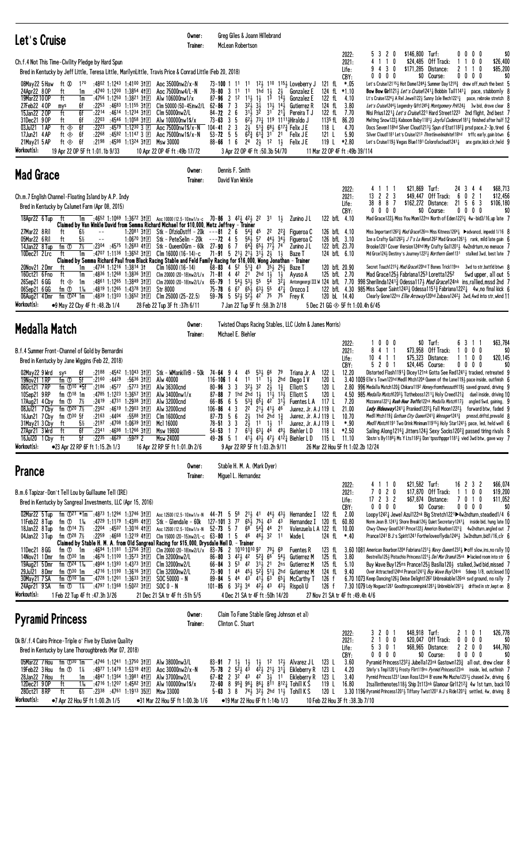| Let's Cruise                                                                                                                                                                                                                                                                                                                                                                                                                                                                                                                                                                                                                                                                                                                                                                                                                                                                                                                                                                                                                                                                              | Owner:<br>Trainer:                                                                                                                                     | Greg Giles & Joann Hillebrand<br>McLean Robertson                                                                                                                                                                                                                                                                                                                                                                                                                             |                                                                                                                                                                                                                                                                                                                                                                                                                                                                                                                                                                                                                                                                                                                |                                                                                                                                                                                                                                  |                                                                                                                                                                                                |                                                                                                                                                                                                                                                                                                                                                                                                                                                                                                                                                                                                                                                                                                                                                                                                                                                                                                                                                                                                                                                                                                                                                            |
|-------------------------------------------------------------------------------------------------------------------------------------------------------------------------------------------------------------------------------------------------------------------------------------------------------------------------------------------------------------------------------------------------------------------------------------------------------------------------------------------------------------------------------------------------------------------------------------------------------------------------------------------------------------------------------------------------------------------------------------------------------------------------------------------------------------------------------------------------------------------------------------------------------------------------------------------------------------------------------------------------------------------------------------------------------------------------------------------|--------------------------------------------------------------------------------------------------------------------------------------------------------|-------------------------------------------------------------------------------------------------------------------------------------------------------------------------------------------------------------------------------------------------------------------------------------------------------------------------------------------------------------------------------------------------------------------------------------------------------------------------------|----------------------------------------------------------------------------------------------------------------------------------------------------------------------------------------------------------------------------------------------------------------------------------------------------------------------------------------------------------------------------------------------------------------------------------------------------------------------------------------------------------------------------------------------------------------------------------------------------------------------------------------------------------------------------------------------------------------|----------------------------------------------------------------------------------------------------------------------------------------------------------------------------------------------------------------------------------|------------------------------------------------------------------------------------------------------------------------------------------------------------------------------------------------|------------------------------------------------------------------------------------------------------------------------------------------------------------------------------------------------------------------------------------------------------------------------------------------------------------------------------------------------------------------------------------------------------------------------------------------------------------------------------------------------------------------------------------------------------------------------------------------------------------------------------------------------------------------------------------------------------------------------------------------------------------------------------------------------------------------------------------------------------------------------------------------------------------------------------------------------------------------------------------------------------------------------------------------------------------------------------------------------------------------------------------------------------------|
| Ch.f.4 Not This Time-Civility Pledge by Hard Spun<br>Bred in Kentucky by Jeff Little, Teresa Little, MarilynLittle, Travis Price & Conrad Little (Feb 20, 2018)                                                                                                                                                                                                                                                                                                                                                                                                                                                                                                                                                                                                                                                                                                                                                                                                                                                                                                                           |                                                                                                                                                        |                                                                                                                                                                                                                                                                                                                                                                                                                                                                               |                                                                                                                                                                                                                                                                                                                                                                                                                                                                                                                                                                                                                                                                                                                | 2022:<br>2021:<br>Life:                                                                                                                                                                                                          | \$146,800 Turf:<br>5320<br>\$24,485<br>0<br>-1<br>-1<br>4 3 0<br>\$171.285                                                                                                                     | \$0<br>$0\,0\,0\,0$<br>Off Track:<br>0 <sub>0</sub><br>\$26,400<br>11<br>Distance:<br>0<br>\$85,200<br>2<br>$\overline{1}$                                                                                                                                                                                                                                                                                                                                                                                                                                                                                                                                                                                                                                                                                                                                                                                                                                                                                                                                                                                                                                 |
| 08May22 5 Haw<br>ft Ø<br>$1^{70}$<br>:4802 1:1243 1:4100 31 $E$ Aoc 35000nw2/x-N<br>24Apr22 8 OP<br>:4740 1:1200 1:3854 41日<br>ft<br>1m<br>19Mar22100P<br>ft<br>:4756 1:1250 1:3821 31 $E$<br>1m<br>6f<br>:2253<br>:4683 1:1155 3111<br>27Feb22 40P<br>mys<br>ft<br>6f<br>15Jan22 20P<br>$:22^{14}$ $:46^{14}$ 1:12 <sup>34</sup> 31 $\text{F}$<br>6f<br>:4546 1:1058 3111<br>31Dec21 90P<br>ft<br>:2203<br>03Jul21 1 AP<br>ft $\circledast$<br>6f<br>:2223<br>:4579 1:1230 3 $E$<br>:2268<br>17Jun21 4 AP<br>6f<br>:4592 1:1147 3 $\Box$<br>ft $\otimes$<br>:2198<br>21May21 5 AP<br>ft $\otimes$<br>6f<br>:4598 1:1324 311回<br>Msw 30000<br>Workout(s):<br>19 Apr 22 OP 5F ft 1:01.1b 9/33<br>10 Apr 22 OP 4F ft: 49b 17/72                                                                                                                                                                                                                                                                                                                                                             | Aoc 75000nw4/L-N<br>Alw 106000nw1/x<br>Clm 50000 (50-45)nw2/L 62-86<br>Clm 50000nw2/L<br>Alw 100000nw1\$/x<br>Aoc 75000nw1\$/x-N<br>Aoc 75000nw1\$/x-N | 78-80 3 11 11<br>$87 - 96$ 2 12<br>$11\frac{1}{2}$ $1\frac{1}{2}$<br>$3^{2}\frac{1}{2}$<br>73<br>$84 - 72$ 2 6<br>5<br>$73 - 63$ 3<br>3<br>$104 - 41$ 2<br>$53 - 72$ 5 5<br>$88 - 66$ 1 6<br>3 Apr 22 OP 4F ft :50.3b 54/70                                                                                                                                                                                                                                                   | 73-100 1 1 <sup>1</sup> 1 <sup>1</sup> 1 <sup>2</sup> / <sub>3</sub> 1 <sup>10</sup> 1 <sup>15</sup> / <sub>3</sub> Loveberry J<br>1 $hd$ 1 $\frac{1}{2}$<br>$2\frac{1}{2}$<br>Gonzalez E<br>$1^{\overline{3}}$ $1^{\overline{4}}$<br>Gonzalez E<br>$13\frac{1}{2}$ $14\frac{1}{2}$<br>$3\overline{1}$<br>Gutierrez R<br>$3^{1\overline{1}}$ $3^{\overline{2}}$ $3^{1}$ $2^{1\overline{1}}$ Pereira T J<br>$62\frac{1}{2}$ 73 $\frac{1}{4}$ 119 1111 Hiraldo J<br>$2\frac{1}{2}$ 5 <sup>13</sup> / <sub>4</sub> 6 <sup>8</sup> / <sub>4</sub> 6 <sup>17</sup> <sub>4</sub> <sup>2</sup> Felix J E<br>$6\overline{2}$ $\frac{3}{4}$ $61\overline{3}$ $31$ $21$ Felix JE<br>$2^4$ $2^1$ $1^2$ $1^1$<br>Felix J E | CBY:<br>121 fl $*.05$<br>124 fl *1.10<br>122 fL 4.10<br>124 fL<br>3.80<br>122 fL<br>7.70<br>1135 fL 86.20<br>4.70<br>118 L<br>5.90<br>121 L<br>119 L<br>*2.80<br>11 Mar 22 OP 4F ft: 49b 39/114                                  | $0\,$ $0\,$ $0\,$<br>0                                                                                                                                                                         | \$0 Course:<br>00<br>$0\quad 0$<br>\$0<br>Let's Cruise121153 Hot Dame12443 Summer Day1218 $\frac{3}{4}$ drew off, much the best 5<br><b>Bow Bow Girl121</b> $\frac{1}{2}$ Let's Cruise1241 $\frac{1}{2}$ Bobbin Tail1141 $\frac{1}{4}$ pace, stubbornly 8<br>Lt's Cruise1224} A Rel Jewel122} Sunny Isle Bech1221} pace, rebroke stretch $8$<br>Let's Cruise1244 <sub>2</sub> Legendry Gift1245 <sub>4</sub> Montgomery Prk124 <sub>2</sub> 3w bid, drove clear 8<br>Nisi Prius1221, Let's Cruise1221 Hard Street1223 2nd flight, 2nd best 7<br>Melting Snow 1223 Kaboom Baby 11813 Joyful Cadence11813 finished after half 12<br>Docs Seven118hd Silver Cloud12131 Spun d'Etat11823 prsd pace, 2-3p, tired 6<br>Silver Cloud1181 Let's Cruise1213 Thretlevelmidnite118hd trffc early, gain btwn 6<br>Let's Cruise1193 Vegas Blue1191 Colorofacloud12413 anx gate, kick clr, held 9                                                                                                                                                                                                                                                                        |
| <b>Mad Grace</b>                                                                                                                                                                                                                                                                                                                                                                                                                                                                                                                                                                                                                                                                                                                                                                                                                                                                                                                                                                                                                                                                          | Owner:<br>Trainer:                                                                                                                                     | Dennis F. Smith<br>David Van Winkle                                                                                                                                                                                                                                                                                                                                                                                                                                           |                                                                                                                                                                                                                                                                                                                                                                                                                                                                                                                                                                                                                                                                                                                |                                                                                                                                                                                                                                  |                                                                                                                                                                                                |                                                                                                                                                                                                                                                                                                                                                                                                                                                                                                                                                                                                                                                                                                                                                                                                                                                                                                                                                                                                                                                                                                                                                            |
| Ch.m.7 English Channel-Floating Island by A.P. Indy<br>Bred in Kentucky by Calumet Farm (Apr 08, 2015)<br>18Apr22 6 Tup<br>1m :4652 1:1069 1:3672 31 $E$ Aoc 10000 (12.5-10)nw1/x-c 70-86 3 423 423 22 31<br>ft<br>Claimed by Van Winkle David from Semma Richard Michael for \$10,000, Metz Jeffrey - Trainer<br>27Mar22 8 Ril<br>ft<br>$6\%$<br>1:20 <sup>81</sup> 31 $E$ Stk - DfzioDstff - 20k ---81 2 6<br>$ -$<br>5%<br>05Mar22 6 Ril<br>ft<br>$1:06^{70}$ 3†EI<br>fm ①<br>7½<br>$:23^{04}$ $:45^{75}$ 1:2683 41 E<br>14Jan22 8Tup<br>10Dec21 2 Lrc<br>ft<br>:4707 1:1136 1:3652 31 $E$<br>1m<br>Claimed by Semma Richard Paul from Black Racing Stable and Feld Family Racing for \$16,000, Wong Jonathan - Trainer<br>20Nov21 2Dmr<br>ft<br>1m<br>:4734 1:1216 1:3814 31<br>:4836 1:1268 1:3836 31 $E$<br>160ct21 6 Fno<br>ft<br>1m<br>:4861 1:1265 1:3849 31 $E$<br>26Sep21 6 GG<br>ft $\otimes$<br>1m<br>1‰<br>:4819 1:1265 1:4378 311回<br>06Sep21 6 GG<br>fm ①<br><b>Str 8000</b><br>06Aug21 4Dmr<br>fm $\mathbb{D}^{24}$ 1m<br>:4839 1:1303 1:3652 31 $E$ Clm 25000 (25-22.5) | Stk - PeteSelin - 20k<br>Stk - QueenOGrn - 60k 27-90 6 7<br>Clm 16000 (16-14)-c<br>$C$ lm 16000 $(16-14)$<br>Clm 20000 (20-18)nw2/L/x $65-79$          | $5^{43}$<br>$--72$ 4 5<br>71-91 5 2 <sup>1</sup> / <sub>2</sub> 2 <sup>1</sup> / <sub>2</sub> 3 <sup>1</sup> / <sub>2</sub> 2 <sup>1</sup> / <sub>2</sub><br>$68-83$ 4 5 <sup>2</sup> 5 <sup>1</sup> $\frac{3}{4}$ 4 <sup>3</sup> 3 <sup>5</sup> $\frac{1}{2}$ 2 <sup>5</sup> $\frac{1}{4}$<br>Clm 20000 (20-18)nw2/L/x 71-81 4 42 21 2hd $1\frac{1}{2}$<br>541 531 55<br>$\overline{1}$<br>75-78 6 67 653 633 55 471<br>$59 - 76$ 5 $52\frac{1}{2}$ $52\frac{1}{2}$ 42 75 75 | $1\frac{1}{2}$<br>Zunino J L<br>45 22<br>223<br>Figueroa C<br>$56\frac{1}{2}$ 57 $44\frac{1}{2}$ 34 $\frac{1}{2}$<br>Figueroa C<br>$64\frac{3}{4}$ $65\frac{1}{2}$ $77\frac{1}{2}$ 74<br>Zunino J L<br>$1\frac{1}{2}$<br>Baze T<br>Baze T<br>$1\frac{1}{2}$<br>Ayuso A<br>54<br>$3^{2}$<br>Orozco I<br>Frey K                                                                                                                                                                                                                                                                                                                                                                                                  | 2022:<br>2021:<br>Life:<br>CBY:<br>122 bfL 4.10<br>126 bfL 4.10<br>126 bfL 3.10<br>122 bfL 23.70<br>124 bfL 6.10<br>120 bfL 20.90<br>125 bfL 2.70<br>Antongeorgi III W 124 bfL 7.70<br>122 bfL 4.30<br>120 bL 14.40              | \$21,869 Turf:<br>111<br>4<br>13 2 2 3<br>\$49,447<br>38 8 8 7<br>$0\ 0\ 0\ 0$<br>Secret Touch1215 <sup>1</sup> Mad Grace120hd T Bones Trick119ns<br>Mad Grace 1253 Fabriana 1253 Loretta 1252 | 24 3 4 4<br>\$68,713<br>Off Track:<br>$\overline{c}$<br>\$12,456<br>- 6<br>0<br>56<br>3<br>\$162,272 Distance:<br>21<br>\$106,180<br>\$0 Course:<br>$0\,0\,0\,0$<br>\$0<br>Mad Grace1223 Miss You Mom122ns North of Eden12231 4w-bid3/16,up late 7<br>Miss Important126 <sup>2</sup> 3 <i>Mad Grace</i> 126ns Miss Kitness1264 → Dadvancd, impedd 1/16 8<br>Ize a Crafty Ga1126 <sup>21</sup> / $J$ T's La Nena126 <sup>2</sup> Mad Grace126 <sup>11</sup> / <sub>2</sub> rank, mild late gain 6<br>Brooke1201 Cover Version124hd My Crafty Ga112013 4w2ndrturn, no menace 7<br>Md Grce124} Destiny's Journey1222} Northern Gem1131 stalked 3wd, best late 7<br>3wd to str,battld btwn 8<br>5 bwd upper, all out<br>998 Sherilinda12413 Odessa1173 <i>Mad Grace</i> 124nk ins, rallied, mssd 2nd 7<br>985 Miss Super Saint1243 Udessa1151 $\frac{3}{4}$ Fabriana1222 $\frac{1}{4}$ 4w, no final kick 6<br>Clearly Gone122ns Ellie Arroway120hd Zabava12423 2wd, 4wd into str, wknd 11                                                                                                                                                                      |
| Workout(s):<br>28 Feb 22 Tup 3F ft: 37h 6/11<br>•9 May 22 Cby 4F ft:48.2b 1/4<br>Medalla Match                                                                                                                                                                                                                                                                                                                                                                                                                                                                                                                                                                                                                                                                                                                                                                                                                                                                                                                                                                                            | Owner:                                                                                                                                                 | 7 Jan 22 Tup 5F ft : 58.3h 2/18                                                                                                                                                                                                                                                                                                                                                                                                                                               | Twisted Chaps Racing Stables, LLC (John & James Morris)                                                                                                                                                                                                                                                                                                                                                                                                                                                                                                                                                                                                                                                        | 5 Dec 21 GG $\otimes$ 5F ft 1:00.4h 6/45                                                                                                                                                                                         |                                                                                                                                                                                                |                                                                                                                                                                                                                                                                                                                                                                                                                                                                                                                                                                                                                                                                                                                                                                                                                                                                                                                                                                                                                                                                                                                                                            |
| B.f.4 Summer Front-Channel of Gold by Bernardini<br>Bred in Kentucky by Jane Wiggins (Feb 22, 2018)<br>02May22 9 Wrd<br>6f<br>:2188<br>:4542 1:1043 31 $\mathbb{E}$<br>sys<br>5f<br>:2160<br>:4429<br>:5636 3†国<br>Alw 40000<br>19Nov21 1 RP<br>fm ①<br>060ct21 7RP<br>fm $\bigcirc$ 10 $*$ 5f<br>$:2186$ $:4577$<br>:5773 3†国<br>Alw 36300cnd<br>:4785 1:1223 1:3657 31 $E$<br>10Sep21 9RP<br>fm $\mathbb{O}^{18}$ 1m<br>:2419 :4731 1:2938 31 E Alw 32000cnd<br>fm $\overline{O}$ 7½<br>17Aug21 4 Cby<br>$^{-}$ :2362 :4619 1:2903 31 $E$ Alw 32000cnd<br>08Jul21 7 Cby fm 1 20 7%<br>16Jun21 7 Cby fm 130 5f<br>$:21^{63}$ $:44^{04}$<br>:5588 31日<br>Clm 16000cnd<br>$5\%$<br>:2197:4708:1:0639:31E<br>31May21 3 Cby<br>Mc1 16000<br>ft<br>27Apr21 3 Wrd<br>$:23^{41}$ $:46^{98}$ 1:1266 31 E<br>Msw 19800<br>6f<br>ft<br>5f<br>$:22^{35}$ $:46^{29}$<br>:5929 2<br>16Jul20 1 Cby ft<br><b>Msw 24000</b><br>Workout(s):<br>●23 Apr 22 RP 6F ft 1:15.2h 1/3<br>16 Apr 22 RP 5F ft 1:01.0h 2/6                                                                                          | Trainer:<br>Stk - WMankillrB - 50k 74-64 9 4<br>Alw $34000$ nw $1/x$                                                                                   | Michael E. Biehler<br>45<br>11<br>$116 - 106$ 1 4<br>$3^2\frac{1}{2}$ 32<br>$80 - 96$ 3 3<br>$87 - 88$ 7 1hd 2hd 13 1 <sup>1</sup> 3<br>$66 - 85$ 6 5<br>$87 - 73$ 5 6<br>$78 - 51$ 3 3<br>54-53 1 7<br>9 Apr 22 RP 5F ft 1:03.2h 9/11                                                                                                                                                                                                                                        | $53\frac{1}{2}66$<br>79<br>Triana Jr. A<br>2hd<br>11<br>$\frac{1}{2}$<br>$2\frac{1}{2}$<br>Diego I V<br>$1\frac{3}{4}$<br>Elliott S<br>$1^{3}\frac{1}{2}$<br><b>Elliott S</b><br>$5^{3}\frac{3}{4}$ $6^{5}\frac{1}{4}$ $4^{2}$ $3^{1}\frac{1}{2}$ Fuentes L A 117 L<br>106-86 4 3 2 <sup>2</sup> 2 <sup>1</sup> / <sub>2</sub> 4 <sup>1</sup> / <sub>2</sub> 4 <sup>6</sup> Juarez, Jr. A J 119 L 21.00<br>$2\frac{1}{2}$ 1hd 2hd 1 $\frac{3}{4}$<br>Juarez, Jr. $A$ J 119 L<br>$2\frac{1}{2}$ 11 1 $\frac{1}{2}$ 11<br>Juarez, Jr. A J 119 L<br>$6^{12}_{4}$ $6^{3}$ $4^{4}$ $4^{9}$ Biehler LD<br>49-26 5 1 413 433 473 412 Biehler LD                                                                       | 2022:<br>2021:<br>Life:<br>CBY:<br>122 L<br>12.20<br>120 L<br>120 L<br>2.80<br>120 L<br>4.50<br>7.20<br>10.70<br>$*.90$<br>118 L<br>*2.50<br>115 L 11.10<br>26 Mar 22 Hou 5F ft 1:02.2b 12/24                                    | $0\,0\,0$<br>8 4 1 1<br>\$75,323<br>4 1 1<br>10<br>5201                                                                                                                                        | \$0 Turf:<br>63<br>\$63,784<br>-1-1<br>\$73,958 Off Track:<br>0<br>$0\quad0$<br>\$0<br>$\mathbf{1}$<br>Distance:<br>11<br>$0\quad 0$<br>\$20,145<br>\$24,445 Course:<br>$0\,0\,0\,0$<br>\$0<br>Distorted Flash11913 Dicey121nk Gotta See Red12413 tracked, retreated 9<br>3.40 1009 Elle's Town123hd Medl1 Mtch1204 Queen of the Lane1193 pace inside, outfinish 6<br>996 Medalla Match120 $\frac{3}{4}$ Chikara119 <sup>2</sup> Honey from the south119 $\frac{1}{2}$ saved ground, driving 9<br>985 Medalla Match120 <sup>3</sup> Tiztheboss1211 <sub>4</sub> Holy Creed121 <sub>4</sub> duel inside, driving 10<br>Mizzanna12211 Rush Hour Traffic122nk Medalla Match1173 angled 5wd, gaining, 9<br>Lady Hideaway12411 Pranked12221 Fall Moon12221 forward btw, faded 9<br>Medll Mtch119 $\frac{3}{4}$ Gotham City Queen1241 $\frac{3}{4}$ Winnager1241 $\frac{3}{4}$ pressd, driftd, prevaild 8<br><i>Medll Match</i> 1191 Two Drink Minimum 119153 Holy Star12413 pace, led, held well 6<br>Sailing Along 1216 L Jitters 124 Lexy Socks 1202 and passed tiring rivals 8<br>Sbstn's By11881 Ms Y Lts11821 Don'tpssthpppr11811 vied 3wd btw, gave way 7 |
| <b>Prance</b>                                                                                                                                                                                                                                                                                                                                                                                                                                                                                                                                                                                                                                                                                                                                                                                                                                                                                                                                                                                                                                                                             | Owner:<br>Trainer:                                                                                                                                     | Stable H. M. A. (Mark Dyer)<br>Miguel L. Hernandez                                                                                                                                                                                                                                                                                                                                                                                                                            |                                                                                                                                                                                                                                                                                                                                                                                                                                                                                                                                                                                                                                                                                                                |                                                                                                                                                                                                                                  |                                                                                                                                                                                                |                                                                                                                                                                                                                                                                                                                                                                                                                                                                                                                                                                                                                                                                                                                                                                                                                                                                                                                                                                                                                                                                                                                                                            |
| B.m.6 Tapizar-Don't Tell Lou by Guillaume Tell (IRE)<br>Bred in Kentucky by Sangreal Investments, LLC (Apr 15, 2016)<br>02Mar22 5 Tup<br>fm $\overline{O}$ 21 *1m :4873 1:1294 1:3746 31 $\overline{E}$<br>:4729 1:1179 1:4385 411回<br>11Feb22 8 Tup<br>fm $\overline{O}$ 1 <sup>1</sup> / <sub>6</sub><br>:2204 :4507 1:3016 411<br>18Jan22 8 Tup<br>fm $\oplus$ 14 7½<br>04Jan22 3 Tup<br>fm $\oplus$ 28 7½<br>$:22^{59}$ $:46^{68}$ 1:3219 41 E<br>Claimed by Stable H. M. A. from Old Sangreal Racing for \$15,000, Drysdale Neil D. - Trainer<br>11Dec21 8GG<br>:4694 1:1181 1:3756 3f国<br>fm ① 1m<br>14Nov21 1Dmr<br>fm $\mathbb{D}^{30}$ 1m<br>:4676 1:1100 1:3573 31回<br>fm $\Phi$ <sup>24</sup> 1 <sup>%</sup><br>:4904 1:1393 1:4373 311回<br>19Aug21 5 Dmr<br>29Ju121 8Dmr<br>:4716 1:1190 1:3616 3†匣<br>fm $\mathbb{D}^{30}$ 1m<br>30May21 7 SA<br>:4728 1:1201 1:3633 31回<br>fm $\mathbb{O}^{10}$ 1m<br>24Apr21 9 SA<br>:4797 1:1368 1:5022 3↑⊡ SOC 0 - N<br>fm ①<br>$1\%$<br>Workout(s):<br>1 Feb 22 Tup 4F ft :47.3h 3/26<br>21 Dec 21 SA tr 4F ft :51h 5/5                 | Clm 32000nw2/L<br>Clm 32000nw2/L<br>$SOC 50000 - N$                                                                                                    | Stk - Glendale - 60k 127-101 3 77 653 753 43 43<br>Aoc 12500 (12.5-10)nw1/x-N 52-73 5 7 68 54 $\frac{3}{4}$ 44 21<br>Clm 15000 (20-15)nw2/L-c $63-80$ 1 5 4 <sup>6</sup> 4 <sup>6</sup> 3 <sup>2</sup> 11<br>4 Dec 21 SA tr 4F ft :50h 14/20                                                                                                                                                                                                                                  | Aoc 12500 (12.5-10)nw1/x-N 44-71 5 58 21 41 44 43 Hernandez I 122 fl 2.00<br>Wade L<br>Clm 20000 (20-18)nw2/L/x 83-76 2 10101010 97 791 69 Fuentes R<br>Clm 32000nw2/L 86-80 3 421 42 523 6 <sup>6</sup> 541 Gutierrez M<br>66-84 3 53 42 311 21 2ns Gutierrez M<br>73-90 1 44 453 52 $\frac{3}{4}$ 511 2hd Gutierrez M<br>89-84 5 44 43 41 63 65 McCarthy T<br>101-85 6 32 $\frac{1}{2}$ 34 42 $\frac{1}{2}$ 43 43 $\frac{1}{2}$ Rispoli U                                                                                                                                                                                                                                                                    | 2022:<br>2021:<br>Life:<br>CBY:<br>Hernandez I 120 fL 60.80<br>Valenzuela L A 122 fL 10.00<br>124 fl *.40<br>123 fL<br>125 fL<br>3.80<br>125 fL<br>5.10<br>124 fL<br>9.40<br>126 f<br>126 f<br>27 Nov 21 SA tr 4F ft : 49.4h 4/6 | \$21,582 Turf:<br>4 1 1 0<br>020<br>7<br>$17$ 2 3 2<br>0 0 0 0                                                                                                                                 | 16 2 3 2<br>\$66,074<br>\$17,870 Off Track:<br>1 1 0 0<br>\$19,200<br>\$11,052<br>\$67,874 Distance:<br>7010<br>\$0 Course:<br>\$0<br>$0\,0\,0\,0$<br>Loopy12421 Jewel Azul122nk Big Stretch1221▶4w2ndturn, steadied1/4 6<br>Norm Jean B.1241 $\frac{1}{4}$ Shore Break124 $\frac{1}{2}$ Quiet Secretary 1241 $\frac{1}{4}$ inside bid, hung late 10<br>Chwy Chewy Good1241 Prnce1221 Americn Bourbon12213 4w2ndturn, angled out 7<br>Prance 1241 B J's Spirit 1241 For the love of lydia 1244 3 3w 2nd turn, bid 1/16, clr 6<br>3.60 1081 American Bourbon1204 Fabriana1231 $\frac{1}{2}$ Navy Queen1232 $\frac{1}{4}$ $\blacktriangleright$ off slow, ins, no rally 10<br>Bestrella125} Pistachio Princess1221} Del Mar Drama125nk ▶lacked room into str 6<br>Buy Wave Buy 125ns Prance 1253 Basilia 1203 stalked, 3wd bid, missed 7<br>Over Attracted124hd Prance12413 Buy Wave Buy124nk 5deep 1/8, outclosed 10<br>6.70 1073 Keep Dancing 1261 Deise Delight 126 <sup>2</sup> Unbreakable 126nk syd ground, no rally 7<br>7.30 1079 Ldy Noguez1261 Goodtingscominpink1261 1 Unbrekble1261 1 drifted in str, kept on 8                                  |
| Claim To Fame Stable (Greg Johnson et al)<br>Owner:<br><b>Pyramid Princess</b><br>Clinton C. Stuart<br>Trainer:                                                                                                                                                                                                                                                                                                                                                                                                                                                                                                                                                                                                                                                                                                                                                                                                                                                                                                                                                                           |                                                                                                                                                        |                                                                                                                                                                                                                                                                                                                                                                                                                                                                               |                                                                                                                                                                                                                                                                                                                                                                                                                                                                                                                                                                                                                                                                                                                |                                                                                                                                                                                                                                  |                                                                                                                                                                                                |                                                                                                                                                                                                                                                                                                                                                                                                                                                                                                                                                                                                                                                                                                                                                                                                                                                                                                                                                                                                                                                                                                                                                            |
| Dk B/.f.4 Cairo Prince-Triple o' Five by Elusive Quality<br>Bred in Kentucky by Lane Thoroughbreds (Mar 07, 2018)<br>fm $\mathbb{D}^{30}$ 1m<br>:4746 1:1241 1:3750 3†回<br>05Mar22 7 Hou<br>19Feb22 3 Hou<br>:4977 1:1479 1:5319 411回<br>fm ①<br>- 1%<br>28Jan22 7 Hou<br>:4847 1:1364 1:3981 4111<br>ft<br>1m<br>12Dec21 9 OP<br>ft<br>:4716 1:1207 1:4582 3111<br>1‰<br>280ct21 8RP<br>6½<br>$:23^{38}$ :4761 1:1913 35 Msw 33000<br>ft<br>Workout(s):<br>•7 Apr 22 Hou 5F ft 1:00.2h 1/5                                                                                                                                                                                                                                                                                                                                                                                                                                                                                                                                                                                               | Alw 38000nw3/L<br>Aoc $30000$ nw $2/x - N$<br>Alw 37000nw2/L<br>Alw 100000nw1\$/x<br>•31 Mar 22 Hou 5F ft 1:00.3b 1/6                                  | •19 Mar 22 Hou 6F ft 1:14b 1/3                                                                                                                                                                                                                                                                                                                                                                                                                                                | 83-91 7 1 $\frac{1}{2}$ 1 $\frac{1}{2}$ 1 $\frac{1}{2}$ 1 <sup>2</sup> 1 <sup>2</sup> $\frac{1}{2}$ Alvarez JL<br>75-78 2 $5^{\overline{2}}\frac{1}{2}$ 4 <sup>3</sup> $4^{\overline{2}}\frac{1}{2}$ 2 <sup>1</sup> / <sub>2</sub> 3 <sup>1</sup> / <sub>4</sub> Eikleberry R<br>67-82 2 $3^{2}$ 43 $4^{2}$ $3^{1}$ 11 Eikleberry R<br>72-60 8 $95\frac{3}{4}$ $96\frac{1}{4}$ $86\frac{1}{4}$ $8^{11}$ $8^{12}\frac{1}{4}$ Tohill K S<br>5-63 3 8 $74\frac{1}{2}$ 32 $\frac{1}{2}$ 2hd 11 $\frac{1}{2}$ Tohill K S                                                                                                                                                                                            | 2022:<br>2021:<br>Life:<br>CBY:<br>123 L<br>3.60<br>123 L<br>4.20<br>123 L<br>3.40<br>119 L<br>16.80<br>120 L<br>10 Feb 22 Hou 3F ft: 38.3b 7/10                                                                                 | \$48,918 Turf:<br>3 2 0 1<br>2 <sub>1</sub><br>0 <sub>0</sub><br>5301<br>$0\ 0\ 0\ 0$                                                                                                          | \$26,778<br>2 1 0 1<br>\$20,047 Off Track:<br>$0\ 0\ 0\ 0$<br>\$0<br>\$44,760<br>\$68,965 Distance:<br>2200<br>\$0 Course:<br>$0\ 0\ 0\ 0$<br>\$0<br>Pyramid Princess12323 Jubella123nk Gastown1233 all out, drew clear 8<br>Shirly's Tmp112011 Frosty Flirt119ns <i>Pyrmid Princess</i> 123nk inside, led, outfinish 7<br>Pyrmid Princss1231 Lmon Ross123nk B'esme Me Mucho12313 chased 2w, driving 6<br>Itsallinthenotes 118 Ship It 113nk Glamour Girl 1212 $\frac{3}{4}$ 4w 1st turn, back 10<br>3.30 1196 Pyramid Princess12011 Tiffany Twist1201 A J's Ride1201 $\frac{3}{4}$ settled, 4w, driving 8                                                                                                                                                                                                                                                                                                                                                                                                                                                                                                                                                 |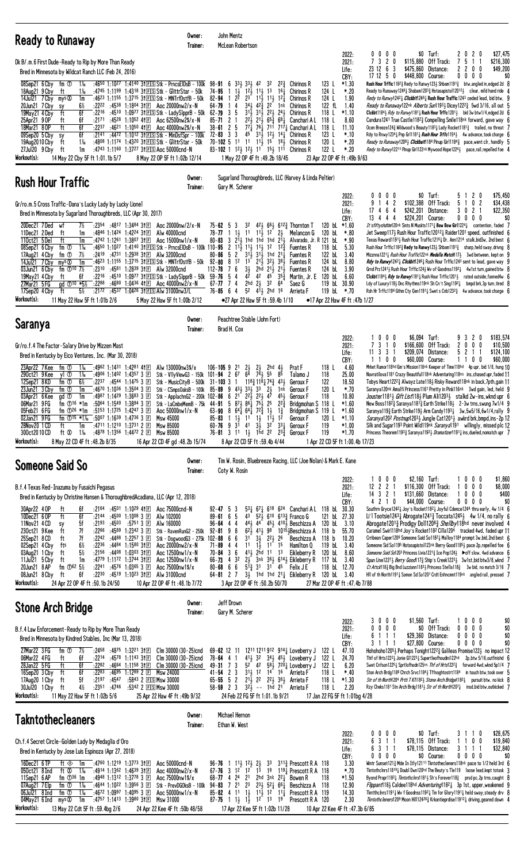| <b>Ready to Runaway</b>                                                                                                                                                                                                                                                                                                                                                                                                                                                                                                                                                                                                                                                                                                                                                                                                | Owner:<br>Trainer:                                                                                                                                                                                                                                                                                                                                                                                                                                                                                                                          | John Mentz<br>McLean Robertson                                                                                                                                                                                                                                                                                                                                                                                                                                                                                                                                                                                                                                                                                                                                                      |                                                                                                                                                                                                                                                                                                                                                                                                                                                                                                                                                                                                                        |                                                                                                                                                                                                                                                                                                                                                                                                                                                                                                                                                                                                                                                                                                                                                                                                                                                                                                                                                                                                                                                                                                                                                                                                                                                     |                                                                                                |
|------------------------------------------------------------------------------------------------------------------------------------------------------------------------------------------------------------------------------------------------------------------------------------------------------------------------------------------------------------------------------------------------------------------------------------------------------------------------------------------------------------------------------------------------------------------------------------------------------------------------------------------------------------------------------------------------------------------------------------------------------------------------------------------------------------------------|---------------------------------------------------------------------------------------------------------------------------------------------------------------------------------------------------------------------------------------------------------------------------------------------------------------------------------------------------------------------------------------------------------------------------------------------------------------------------------------------------------------------------------------------|-------------------------------------------------------------------------------------------------------------------------------------------------------------------------------------------------------------------------------------------------------------------------------------------------------------------------------------------------------------------------------------------------------------------------------------------------------------------------------------------------------------------------------------------------------------------------------------------------------------------------------------------------------------------------------------------------------------------------------------------------------------------------------------|------------------------------------------------------------------------------------------------------------------------------------------------------------------------------------------------------------------------------------------------------------------------------------------------------------------------------------------------------------------------------------------------------------------------------------------------------------------------------------------------------------------------------------------------------------------------------------------------------------------------|-----------------------------------------------------------------------------------------------------------------------------------------------------------------------------------------------------------------------------------------------------------------------------------------------------------------------------------------------------------------------------------------------------------------------------------------------------------------------------------------------------------------------------------------------------------------------------------------------------------------------------------------------------------------------------------------------------------------------------------------------------------------------------------------------------------------------------------------------------------------------------------------------------------------------------------------------------------------------------------------------------------------------------------------------------------------------------------------------------------------------------------------------------------------------------------------------------------------------------------------------------|------------------------------------------------------------------------------------------------|
| Dk B/.m.6 First Dude-Ready to Rip by More Than Ready<br>Bred in Minnesota by Wildcat Ranch LLC (Feb 24, 2016)<br>$08$ Sep21 6 Cby fm $\circled{1}$<br>$1\%$<br>$1\%$<br>18Aug21 9 Cby<br>ft<br>14Jul21 7 Cby mys $\infty$<br>1m<br>6½<br>20Jun21 7 Cby<br>sy<br>6f<br>19May21 4 Cby<br>ft<br>6f<br>25Apr21 9 OP<br>ft<br>6f<br>:2237<br>18Mar21 80P<br>ft<br>09Sep20 5 Cby<br>6f<br>sy<br>19Aug2010 Cby<br>$1\%$<br>ft<br>27Jul20 9 Cby<br>ft<br>1m<br>Workout(s):<br>14 May 22 Cby 5F ft 1:01.1b 5/7                                                                                                                                                                                                                                                                                                                  | :4650 1:1027 1:4140 31 ELS Stk - Prncs EIDs B - 100k<br>:4745 1:1199 1:4318 31ESStk - GlittrStar - 50k<br>:4623 1:1155 1:3715 31 EISS tk - MNTrfDstfB - 50k<br>:2222 :4538 1:1804 31 El Aoc 20000nw2/x-N<br>:2216 :4510 1:0977 31 ES Stk - Lady SlpprB - 50k<br>:2171 :4528 1:1052 41 $E$ Aoc 62500nw2\$/x-N<br>:4621 1:1050 41E Aoc 40000nw2\$/x-N<br>:2141 :4472 1:1012 31 EISI Stk - MinDsfSpr - 100k<br>:4808 1:1174 1:4320 31 ES Stk - Glittr Star - 50k<br>:4743 1:1160 1:3727 31 ES Aoc 50000 cnd-N<br>8 May 22 OP 5F ft 1:02b 12/14 | $33\frac{1}{2}$ $33\frac{1}{2}$ 42<br>$98 - 91 = 6$<br>32<br>74-95<br>$\overline{1}$<br>$1\frac{1}{2}$ $12\frac{1}{2}$ $11\frac{1}{2}$ 13<br>22<br>$82 - 94$<br>2 <sup>3</sup><br>11} 11} 12}<br>$34\frac{1}{2}$<br>$2^{2}$ 1nk<br>$64 - 79$<br>4<br>$42\frac{3}{4}$<br>-1<br>$62 - 79$ 3 5<br>$85 - 71$ 2<br>22} 21}<br>$65\frac{3}{4}$ $68\frac{1}{4}$<br>$38 - 61$ 2 5<br>$72 - 83$<br>3 <sup>3</sup><br>45<br>70-102 5 11 11 11 15 18 Chirinos R<br>83-102 1 123 123 11 153 111 Chirinos R<br>1 May 22 OP 4F ft : 49.2b 18/45                                                                                                                                                                                                                                                   | 2022:<br>2021:<br>Life:<br>CBY:<br>123L<br>$*1.30$<br>$2^{2^{3}}$<br>Chirinos R<br>$16\frac{1}{4}$<br>124 L<br>*.20<br>Chirinos R<br>124 L<br>1.90<br>Chirinos R<br>122 fL<br>1.40<br>Chirinos R<br>$31\frac{1}{2}$ $31\frac{1}{2}$ $22\frac{1}{2}$ $24\frac{1}{2}$ Chirinos R<br>118 L<br>$*1.10$<br>118 L<br>8.60<br>Canchari A L<br>$7^{7}\frac{1}{4}$ 7 <sup>6</sup> $\frac{1}{4}$ 7 <sup>17</sup> $\frac{1}{4}$ Canchari A L<br>118 L<br>11.10<br>$31\frac{1}{2}$ $12\frac{1}{2}$ $14\frac{1}{4}$ Chirinos R<br>$*10$<br>123 L<br>120 L<br>*.20<br>122 L<br>*.20<br>23 Apr 22 OP 4F ft: 49b 9/63                  | $0\,0\,0\,0$<br>\$0 Turf:<br>7<br>320<br>\$115,880 Off Track:<br>$\overline{1}$<br>5<br>23 12 6 3<br>\$475,860<br>Distance:<br>22<br>171250<br>\$448,800 Course:<br>00<br><b>Rush Hour Trffic</b> 1182 $\frac{3}{4}$ Redy to Runwy 123 $\frac{1}{2}$ Shbam 1191 $\frac{3}{4}$ btw, angled in, edged 2d 8<br>Ready to Runaway12461 Shabam12033 Hotasapisto1120123 clear, mild hand ride<br>Redy to Runwy12421 Clickbit12461 Rush Hour Traffic1243 ceded lead, bid btw, 9<br><i>Ready to Runaway</i> 122 <sup>nk</sup> <i>Alberta Sun</i> 11934 Dicey 1222 $\frac{3}{4}$ 5wd 3/16, all out 5<br>Clckbt1184} Rdy to Runwy1181} Rush Hour Trffc1201} bid 3w btw1/4, edged 2d $6$<br>Candura1241 True Castle11823 Compelling Smile118nk forward, gave way 6<br>Ocen Breeze1243 Wildwood's Beauty11831 Lady Rocket11813 trailed, no threat 7<br>Rdy to Rnwy12341 Pnp Gr111811 <i>Rush Hour Trffc</i> 11541 4w advance, took charge 6<br><i>Ready to Runaway</i> 120 <sup>8</sup> <i>Qlickbalt</i> 1184 Pinup Girl 1184 <sup>3</sup> pace, went clr, handily 5<br>Redy to Runwy12211 Pinup Girl122nk Mywood Hope12243 pace,rail,repelled foe 4                                                                                                             | \$27,475<br>2020<br>\$216,300<br>1 1<br>\$49,200<br>$0\quad 0$<br>$0\quad0$<br>\$0             |
| <b>Rush Hour Traffic</b>                                                                                                                                                                                                                                                                                                                                                                                                                                                                                                                                                                                                                                                                                                                                                                                               | Owner:<br>Trainer:                                                                                                                                                                                                                                                                                                                                                                                                                                                                                                                          | Gary M. Scherer                                                                                                                                                                                                                                                                                                                                                                                                                                                                                                                                                                                                                                                                                                                                                                     | Sugarland Thoroughbreds, LLC (Harvey & Linda Peltier)                                                                                                                                                                                                                                                                                                                                                                                                                                                                                                                                                                  |                                                                                                                                                                                                                                                                                                                                                                                                                                                                                                                                                                                                                                                                                                                                                                                                                                                                                                                                                                                                                                                                                                                                                                                                                                                     |                                                                                                |
| Gr/ro.m.5 Cross Traffic-Dana's Lucky Lady by Lucky Lionel<br>Bred in Minnesota by Sugarland Thoroughbreds, LLC (Apr 30, 2017)<br>20Dec21 7Ded<br>wf<br>7½<br>ft<br>:4846 1:1424 1:4224 31 $E$<br>11Dec21 2Ded<br>1m<br>110ct21 5Del<br>ft<br>1m<br>fm <sup>1</sup><br>$1\%$<br>08Sep21 6 Cby<br>$7\frac{1}{2}$<br>17Aug21 4 Cby<br>fm ①<br>14Jul21 7 Cby<br>mys ®<br>1m<br>fm $\oplus$ 10 7%<br>03Jun21 6 Cby<br>6f<br>19May21 4 Cby<br>ft<br>27Mar21 5 FG<br>ad $\textcircled{10}$ *5%<br>17Sep20 4 Cby<br>5½<br>ft<br>Workout(s):<br>11 May 22 Haw 5F ft 1:01b 2/6                                                                                                                                                                                                                                                   | :2354 :4817 1:3484 31 Aoc 20000nw/2/x-N<br>Alw 40000cnd<br>:4742 1:1261 1:3807 31 $E$ Aoc 15000nw1/x-N<br>:4650 1:1027 1:4140 31 E Stk - Prncs ElDs B - 100 k 110 - 95<br>:2419 :4731 1:2938 31 El Alw 32000 cnd<br>:4623 1:1155 1:3715 31EISI Stk - MNTrfDstfB - 50k 92-80<br>:2310 :4581 1:2839 31 Alw 32000cnd<br>:2216 :4510 1:0977 31EISI Stk - LadySlpprB - 50k 59-76<br>:2288 :4680 1:0436 41 E Aoc 40000nw2/x-N<br>:2172 :4537 1:0426 31 EISI AIw 31000nw3/L<br>5 May 22 Haw 5F ft 1:00b 2/12                                       | $75 - 62 = 5$<br>3<br>32<br>$11 \quad 11\frac{1}{2} \quad 12^{\frac{1}{2}} \quad 2\frac{1}{2}$<br>78-77<br>$1\frac{1}{2}$<br>3 2 <sup>1</sup> , 1hd 1hd 1hd 2 <sup>1</sup> ,<br>$80 - 83$<br>$2 \frac{11\frac{7}{2}}{11\frac{11}{2}} \frac{11\frac{11}{2}}{11\frac{11}{2}} \frac{12}{12} \frac{12\frac{3}{2}}{1}$<br>$2^{-}$<br>$31\frac{1}{2}$ $31\frac{1}{2}$ 1hd $21\frac{1}{4}$<br>$80 - 86$<br>- 5<br>1 <sup>2</sup><br>8<br>1 <sup>3</sup><br>21, 32, 38,<br>$112 - 78$ 7 6<br>$3\frac{1}{2}$<br>2hd $2^{11}$ $2^{11}$<br>54<br>$4^{\overline{2}}$ $4^{\overline{2}}$ $4^{\overline{5}}$ $3^{\overline{5}}$ $3^{\overline{3}}$<br>$67 - 77$ 7 4<br>$2hd 2\frac{1}{2}$<br>$3^2$ 64<br>$76-85$ 6 4 $5^2$ $4^1\frac{1}{2}$ 2hd 16<br>•27 Apr 22 Haw 5F ft :59.4b 1/10            | 2022:<br>2021:<br>Life:<br>CBY:<br>120 bL *1.60<br>423 $66\frac{1}{2}$ 612 <sup>3</sup> / <sub>4</sub> Thornton T<br>Melancon G<br>120 bL<br>$*.80$<br>Alvarado, Jr. R 121 bL<br>$*90$<br>118 bL<br>5.30<br><b>Fuentes R</b><br>122 bL<br>3.40<br><b>Fuentes R</b><br>124 bL<br>8.80<br><b>Fuentes R</b><br>124 bL<br>3.90<br><b>Fuentes R</b><br>120 bL<br>6.60<br>Martin, Jr. E<br>119 bL 30.90<br>Saez G<br>119 bl $*.70$<br>Arrieta F<br>•17 Apr 22 Haw 4F ft :47b 1/27                                                                                                                                            | $$0$ Turf:<br>$0\,$ $0\,$ $0\,$<br>0<br>9 1 4 2<br>\$102,388 Off Track:<br>5<br>\$242,201<br>3<br>17 4 6 4<br>Distance:<br>0<br>13 4 4 4<br>\$224,201 Course:<br>It'sfiftyshdtim120nk Sints N Muskts1171 $\frac{1}{4}$ Bow Bow Girl1224 $\frac{1}{4}$ contention, faded 7<br>Jet Sweep117½ Rush Hour Traffic12012½ Raider1201 speed, outfinished 6<br>Texas Reward11911 Rush Hour Traffic12161 Dr. Ann1214 stalk, bid3w, 2nd best 6<br>Rush Hour Trffic118 <sup>2</sup> & Redy to Runwy123 & Shbam1191 & sharp, held sway, drivng<br>Mizznna1221 <sub>4</sub> Rush Hour Traffic122nk <b>Medalla Match</b> 117 <sub>2</sub> 3wd between, kept on G<br>Rdy to Runwy1242} Clickbit1246} Rush Hour Trffic1243 sent to lead, gave way 9<br>Grnd Prz1241 $\frac{1}{2}$ Rush Hour Trffic124 $\frac{1}{2}$ Wv of Goodnss1192 $\frac{1}{4}$ 4w1st turn, gained btw 8<br>Clckbt1184 <sub>2</sub> <i>Rdy to Runwy</i> 1181 <sub>4</sub> Rush Hour Trffic1201 <sub>2</sub> rated outside, fanned4w 6<br>Ldy of Luxury119 $\frac{1}{2}$ Dnc Rhythms119 <sup>nk</sup> Sh Cn't Sing119 <sup>2</sup> $\frac{1}{4}$ bmpd brk, 3p turn, tired 8<br>Rsh Hr Trffc1196 Gthm Cty Qen1191 $\frac{1}{4}$ Swet s Cnb123 <sup>2</sup> $\frac{3}{4}$ 4w advance, took charge 6 | 5 1 2<br>0<br>\$75,450<br>1 0 2<br>\$34,438<br>2 <sub>1</sub><br>\$22,350<br>0000<br>\$0       |
| <b>Saranya</b>                                                                                                                                                                                                                                                                                                                                                                                                                                                                                                                                                                                                                                                                                                                                                                                                         | Owner:<br>Trainer:                                                                                                                                                                                                                                                                                                                                                                                                                                                                                                                          | Peachtree Stable (John Fort)<br>Brad H. Cox                                                                                                                                                                                                                                                                                                                                                                                                                                                                                                                                                                                                                                                                                                                                         |                                                                                                                                                                                                                                                                                                                                                                                                                                                                                                                                                                                                                        |                                                                                                                                                                                                                                                                                                                                                                                                                                                                                                                                                                                                                                                                                                                                                                                                                                                                                                                                                                                                                                                                                                                                                                                                                                                     |                                                                                                |
| Gr/ro.f.4 The Factor-Salary Drive by Mizzen Mast<br>Bred in Kentucky by Eico Ventures, Inc. (Mar 30, 2018)<br>23Apr22 7 Kee<br>fm ①<br>:4962 1:1431 1:4281 41E<br>$1\%$<br>290ct21 9 Kee<br>yl ①<br>:4906 1:1402 1:4357 3 $E$<br>$1\%$<br>12Sep21 8KD<br>$fm$ $\overline{0}$<br>6½<br>$:22^{37}$ $:45^{44}$ 1:1475 3 F<br>:4670 1:1036 1:3504 3 $E$<br>23Jun21 3 Cby<br>fm <sup>1</sup><br>1m<br>:4987 1:1429 1:3683 3 $E$<br>03Apr21 6 Kee<br>gd <sup>1</sup><br>1m<br>06Mar21 9FG<br>fm ① <sup>16 *</sup> 1m :50 <sup>64</sup> 1:1549 1:3894 3 $\boxed{E}$<br>05Feb21 6FG<br>fm $\textcircled{15}$ *1\% :5007 1:1639 1:4736 3 $\textcircled{1}$ Msw 45000<br>02Jan21 9FG<br>:4711 1:1210 1:3731 2 $\Box$<br>28Nov20 1 CD<br>ft<br>1m<br>300ct2010CD<br>ft Ø<br>$1\%$<br>Workout(s):<br>8 May 22 CD 4F ft: 48.2b 8/35 | Alw 130000nw3\$/x<br>Stk - VIIyViewG3 - 150k 101-94 2 67<br>Stk - MusicCityB - 500k $31-103$ 3 1<br>fm ①26 *1m :5153 1:1725 1:4247 3 $E$ Aoc 50000nw1/x-N<br>Msw 85000<br>:4878 1:1356 1:4472 2 $\boxed{E}$ Msw 85000<br>16 Apr 22 CD 4F gd: 48.2b 15/74                                                                                                                                                                                                                                                                                    | $106 - 105$ 9 2 <sup>1</sup><br>2}<br>$2\frac{1}{2}$<br>2 <sup>hd</sup> 4 <sup>1</sup><br>$64$ 74 $\frac{1}{2}$<br>55<br>$118\frac{3}{2}118\frac{1}{2}74\frac{3}{2}43\frac{1}{2}$<br>Stk - CSmpsOaksB - 100k 85-89 9 43 $\frac{1}{2}$ 33 $\frac{1}{2}$ 33 2 $\frac{1}{2}$<br>Stk - ApplachnG2 - 200k 102-86 6 21 223 223 47<br>Stk - LaCmbeMemB - 75k 44-91 5 87 $\frac{1}{2}$ 86 $\frac{1}{4}$ 75 $\frac{1}{2}$ 25<br>63-90 8 64 $\frac{1}{4}$ 64 $\frac{1}{4}$ 72 $\frac{5}{4}$ 1 $\frac{1}{2}$ 1 $\frac{3}{4}$<br>$85-83$ 1 1 $\frac{1}{2}$ 1 1 $\frac{1}{2}$ 1 1 $\frac{1}{2}$ 1 $\frac{1}{2}$ 1 2<br>60-76 9 3 <sup>1</sup> 4 <sup>1</sup> 3 <sup>1</sup> 3 <sup>2</sup> 3 <sup>3</sup> <sup>1</sup><br>76-81 3 11 14 1 hd 22 $23\frac{3}{4}$<br>8 Apr 22 CD 5F ft :59.4b 4/44 | 2022:<br>2021:<br>Life:<br>CBY:<br>118L<br>4.60<br>Prat F<br>85<br>25.00<br>Talamo J<br>118<br>122<br>18.50<br>Geroux F<br>120 L<br>$*.70$<br>1nk<br>Geroux F<br>45,<br>Geroux F<br>118<br>10.80<br>$2^{2^{3}}$<br>Bridgmohan S 118 L<br>$*1.60$<br>Bridgmohan S 119 L<br>$*1.60$<br>Geroux F<br>120 L<br>*1.10<br>119<br>*1.00<br>Geroux F<br>119<br>$*1.70$<br>Geroux F<br>1 Apr 22 CD 5F ft 1:00.4b 17/23                                                                                                                                                                                                           | \$6,094 Turf:<br>1000<br>\$166,600 Off Track:<br>310<br>2<br>11 3 3 1<br>\$209,074 Distance:<br>5<br>$\overline{c}$<br>1100<br>\$60,000 Course:<br>$1 \; 1$<br>Mrket Rumor118hd Gm's Mission118nk Keeper of Time118hd 4p upr, bid 1/8, hung 10<br>Navratilova1181 Crazy Beautiful118nk Adventuring118ns ins, chased upr, faded 11<br>Tobys Heart12223 Alwayz Late1183 Risky Reward118nk in back, 7pth, gain 11<br>Saranya120nk Amalfi Princess1161 Pretty in Pink116nk 3wd gain, led, held 9<br>Jouster1181½ <i>Gift List</i> 118½ Plum Ali120 <sup>3</sup> ½ stalkd 2w-ins,wknd upr   6<br>New Boss11823 Saranya11813 Earth Strike1183 2-3w trns, swung 7w1/4 9<br>Saranya1193 Earth Strike1193 Arm Candy11931 3w, 5w5/16, 6w1/4, rally 9<br>Saranya1202 Postnup12031 Jungle Cat12011 awkrd brk.bmpd.ins-2p 12<br>Silk and Sugar1193 Point Wild119nk Saranya1191 willingly, missed plc 12<br>Princess Theorem 1193 <sub>4</sub> Saranya 1192 <sub>3</sub> Dramatizer 1191 <sub>4</sub> ins, due led, nomatch upr 7                                                                                                                                                                                                                                 | 9 3 2 0<br>\$183,574<br>\$10,500<br>0<br>0<br>0<br>\$124,100<br>-1<br>-1<br>0<br>0<br>\$60,000 |
| <b>Someone Said So</b>                                                                                                                                                                                                                                                                                                                                                                                                                                                                                                                                                                                                                                                                                                                                                                                                 | Owner:<br>Trainer:                                                                                                                                                                                                                                                                                                                                                                                                                                                                                                                          | Coty W. Rosin                                                                                                                                                                                                                                                                                                                                                                                                                                                                                                                                                                                                                                                                                                                                                                       | Tim W. Rosin, Bluebreeze Racing, LLC (Joe Nolan) & Mark E. Kane                                                                                                                                                                                                                                                                                                                                                                                                                                                                                                                                                        |                                                                                                                                                                                                                                                                                                                                                                                                                                                                                                                                                                                                                                                                                                                                                                                                                                                                                                                                                                                                                                                                                                                                                                                                                                                     |                                                                                                |
| B.f.4 Texas Red-Inazuma by Fusaichi Pegasus<br>Bred in Kentucky by Christine Hansen & ThoroughbredAcadiana, LLC (Apr 12, 2018)<br>30Apr22 4 OP<br>6f<br>ft<br>$:21^{44}$ $:45^{00}$ 1:10 <sup>08</sup> 3 $E$<br>10Dec21 6 OP<br>ft<br>6f<br>5f<br>:2193<br>:4503<br>11Nov21 4 CD<br>sy<br>230ct21 9 Kee<br>7f<br>$:22^{66}$ $:45^{89}$ 1:2342 3 E<br>ft<br>25Sep21 8 CD<br>7f<br>:2242<br>ft<br>$6\%$<br>02Sep21 4 Cby<br>fts<br>:2236<br>$5\%$<br>$:21^{56}$ $:44^{08}$ 1:0303 31 E<br>03Aug21 1 Cby<br>ft<br>:4779 1:1172 1:3744 3111<br>11Jul21 5 Cby<br>ft<br>1m<br>fm $\Phi$ <sup>62</sup> 5 <sup>1/2</sup><br>$:22^{41}$ $:45^{76}$ 1:0365 3 E<br>20Jun21 8 AP<br>6f<br>$:22^{30}$ $:45^{19}$ 1:10 <sup>23</sup> 31 $\text{F}$<br>08Jun21 8 Cby<br>ft<br>Workout(s):<br>24 Apr 22 OP 4F ft: 50.1b 24/50          | :2164 :4501 1:1029 41 $E$ Aoc 75000cnd-N<br>Alw 102000<br>:5751 3 ⊡<br>Alw 160000<br>Stk - RavenRunG2 - 250k<br>:4488 1:2257 3 $E$<br>Stk - DogwoodG3 - 275k<br>:4484 1:1580 3111<br>Aoc $20000 \text{nw2}/\text{x} - \text{N}$<br>Aoc 12500nw1/x-N<br>Aoc 12500nw1/x-N<br>Aoc 75000nw1\$/x<br>Alw 31000cnd<br>10 Apr 22 OP 4F ft: 48.1b 7/72                                                                                                                                                                                               | $53\frac{1}{4}$ 67 $\frac{1}{4}$<br>$92 - 47$ 5<br>-3<br>$89 - 61$ 6 5<br>$96 - 64$ 4 4<br>$92 - 81$ 9 8<br>$3\frac{1}{2}$ $2^2\frac{1}{2}$ $2^6$<br>102-88<br>6<br>6<br>31<br>$1\overline{1}$<br>$71 - 89$ 4 4<br>1 <sup>1</sup><br>1 <sup>1</sup><br>$41\frac{1}{2}$ 2hd 11 13<br>$70 - 84$ 3 6<br>$66 - 73$ 4 3 <sup>2</sup><br>$80 - 68$ 6 6<br>$5^{12}$ 31 31 45 Felix J E<br>3 Apr 22 OP 4F ft :50.2b 50/70                                                                                                                                                                                                                                                                                                                                                                   | 2022:<br>2021:<br>Life:<br>CBY:<br>6 <sup>18</sup> 6 <sup>24</sup> Canchari AL 118 bL 30.30<br>43 $5^{2}$ 5 <sup>10</sup> 6 <sup>13</sup> / <sub>3</sub> Franco G<br>121 bL 27.30<br>44 <sup>1</sup> 44 45 <sup>1</sup> 410 <sup>1</sup> Beschizza A 120 bL<br>3.10<br>623 413 98 10153 Beschizza A<br>118 b<br>55.70<br>118 b<br>10.20<br>Beschizza A<br>15<br>Hamilton Q<br>119 bL<br>3.40<br>120 bL 8.60<br>Eikleberry R<br>$2\frac{1}{2}$ 3nk $36\frac{1}{2}$ 614 $\frac{1}{2}$ Eikleberry R<br>117 bL 3.40<br>118 bL 12.70<br>64-81 2 7 31 1hd 1hd 211 Eikleberry R 120 bL 3.40<br>27 Mar 22 OP 4F ft :47.4b 7/88 | \$2,160 Turf:<br>$0\ 0\ 0$<br>$12$ 2 2 1<br>\$116,300 Off Track:<br>\$131,660 Distance:<br>14 3 2 1<br>4 2 1 0<br>\$44,000 Course:<br>Southrn Gryce12421 Joy's Rocket11821 Joyful Cdence1244 thru early, 4w 1/4 6<br>Li'l Tootsie12431 Abrogate12413 Toccata12451 4w 1/4, no rally 6<br>Abrogate1201 <sub>2</sub> Prodigy Doll1208 <sub>2</sub> Shellby118hd never involved 4<br>Caramel Swirl118hd Joy's Rocket1182 Cilla1204 tracked 4wd, faded upr 11<br>Crribean Caper1206 Someone Said So11821 Malloy1184 prompt 3w, bid, 2nd best 6<br>Someone Sid So1195 Hotasapistol123nk Berry Good11851 pace 2p, repelled foe 6<br>Someone Said So1203 Princess Livia1221 $\frac{3}{4}$ Ice Pop124 $\frac{1}{2}$ $\blacktriangleright$ off slow, 4wd advance 6<br>Spun Line1227 <sub>2</sub> <i>Berry Good</i> 117 <sub>4</sub> Ship's Creek1223 <sub>2</sub> 3w1st,bid btw3/8,wknd 7<br>Ct Attck118 $\frac{3}{4}$ Big Bnd Luzziann118 <sup>3</sup> $\frac{1}{2}$ Princess Stella118 $\frac{3}{4}$ 3w bid, no match 3/16 7<br>Hil of th North11911 Somon Sd So1201 Crdt Enhncmnt119nk angled rail, pressed 7                                                                                                                                              | 1000<br>\$1,860<br>1000<br>\$8,000<br>\$400<br>1000<br>0000<br>\$0                             |
| <b>Stone Arch Bridge</b>                                                                                                                                                                                                                                                                                                                                                                                                                                                                                                                                                                                                                                                                                                                                                                                               | Owner:<br>Trainer:                                                                                                                                                                                                                                                                                                                                                                                                                                                                                                                          | Jeff Drown<br>Gary M. Scherer                                                                                                                                                                                                                                                                                                                                                                                                                                                                                                                                                                                                                                                                                                                                                       |                                                                                                                                                                                                                                                                                                                                                                                                                                                                                                                                                                                                                        |                                                                                                                                                                                                                                                                                                                                                                                                                                                                                                                                                                                                                                                                                                                                                                                                                                                                                                                                                                                                                                                                                                                                                                                                                                                     |                                                                                                |
| B.f.4 Law Enforcement-Ready to Rip by More Than Ready<br>Bred in Minnesota by Kindred Stables, Inc (Mar 13, 2018)<br>27Mar22 3 FG<br>fm ①<br>7½<br>$:24^{58}$ $:48^{75}$ 1:32 <sup>21</sup> 31 E<br>06Mar22 4 FG<br>$:22^{14}$ $:45^{78}$ 1:1143 31 E<br>6f<br>ft<br>28Jan22 5 FG<br>ft<br>6f<br>$:22^{82}$ $:46^{64}$ 1:1158 31 E<br>6f<br>:2283<br>16Sep20 3 Cby<br>ft<br>5f<br>:2197:4547<br>17Aug20 1 Cby<br>ft<br>$4\%$<br>:2351 :4746<br>30Jul20 1 Cby ft<br>Workout(s):<br>11 May 22 Haw 5F ft 1:02b 5/6                                                                                                                                                                                                                                                                                                        | Clm 30000 (30-25)cnd<br>Clm 30000 (30-25)cnd<br>Clm 30000 (30–25)cnd<br>:4695 1:1289 2 $E$ Msw 24000<br>$:5843$ 2 EISI Msw 30000<br>$:5342$ 2 FS Msw 30000<br>25 Apr 22 Haw 4F ft: 49b 9/32                                                                                                                                                                                                                                                                                                                                                 | $69 - 62$ 12 11<br>$78 - 64$ 4 1<br>$49 - 31$ 7 3<br>$41 - 54$ 2 3<br>311 12 14 16 Arrieta F<br>$65 - 55$ 5 2<br>$2^{1\overline{3}}$ 2 <sup>2</sup> $2^{2\overline{2}}$ 3 <sup>6</sup> $\overline{2}$ Arrieta F<br>$58 - 59$ 2 3<br>$32\frac{1}{2}$ -- 1hd 21<br>24 Feb 22 FG 5F ft 1:01.1b 9/21                                                                                                                                                                                                                                                                                                                                                                                                                                                                                    | 2022:<br>2021:<br>Life:<br>CBY:<br>1211 1211 912 9141 Loveberry J<br>47.10<br>122 L<br>24.70<br>$41\frac{1}{2}$ 3 <sup>2</sup> 3 <sup>4</sup> $45\frac{1}{2}$ Loveberry J<br>122 L<br>$5^{2}$ 42 $5^{8}$ $_{2}^{3}$ 7 <sup>20</sup> <sub>4</sub> Loveberry J<br>122 L<br>6.20<br>118 L<br>*.40<br>118 L<br>*1.30<br>118L<br>2.20<br>Arrieta F<br>17 Jan 22 FG 5F ft 1:01bg 4/28                                                                                                                                                                                                                                        | 3 0 0 0<br>\$1,560 Turf:<br>$0\,0\,0\,0$<br>\$0 Off Track:<br>0<br>6 1 1 1<br>\$29,360 Distance:<br>\$27,800 Course:<br>3111<br>Hohohoho12054 Perhaps Tonight122 $2\frac{3}{4}$ Galileas Promise1224 no impact 12<br>Thif of Hrts1222 <sub>4</sub> Jonie G11223 <sub>4</sub> Supertleofhoudini122hd 2p, btw 5/16, outfinishd 6<br>Swet Cnfson1225 $\frac{1}{4}$ Sprtlofhodn125ns <i>Thf of Hrts</i> 122 <sup>2</sup> $\frac{3}{4}$ forward 4wd, wknd 5p1/4 7<br>Ston Arch Brdg1186 Chrch Srvc11843 Tffnoghtostrt1184 in touch btw, took over 5<br>Str of th North120 <sup>4</sup> Prtti T K/1182 <sub>2</sub> Stone Arch Bridge1182 <sub>4</sub> pursuit btw, no kick 8<br>Rzy Cheks1181 Stn Arch Brdg11813 Str of th North12073 insd, bid btw, outkicked 7                                                                                                                                                                                                                                                                                                                                                                                                                                                                                         | $0\,0\,0$<br>\$0<br>$0\ 0\ 0$<br>\$0<br>$0\ 0\ 0\ 0$<br>\$0<br>\$0<br>0000                     |
| <b>Takntothecleaners</b>                                                                                                                                                                                                                                                                                                                                                                                                                                                                                                                                                                                                                                                                                                                                                                                               | Owner:<br>Trainer:                                                                                                                                                                                                                                                                                                                                                                                                                                                                                                                          | Michael Hernon<br>Ethan W. West                                                                                                                                                                                                                                                                                                                                                                                                                                                                                                                                                                                                                                                                                                                                                     | 2022:                                                                                                                                                                                                                                                                                                                                                                                                                                                                                                                                                                                                                  | $0\ 0\ 0\ 0$<br>$$0$ Turf:                                                                                                                                                                                                                                                                                                                                                                                                                                                                                                                                                                                                                                                                                                                                                                                                                                                                                                                                                                                                                                                                                                                                                                                                                          | \$28,675<br>3 1 1 0                                                                            |
| Ch.f.4 Secret Circle-Golden Lady by Medaglia d'Oro<br>Bred in Kentucky by Jose Luis Espinoza (Apr 27, 2018)<br>16Dec21 6 TP<br>ft ◈<br>:4760 1:1219 1:3773 3111<br>1m<br>050ct21 8 Ind<br>ft Ø<br>$1\%$<br>:4914 1:1362 1:4639 31日<br>fm $\mathbb{D}^{36}$ 1m<br>:4948 1:1312 1:3778 3 $\Box$<br>11Sep21 6 AP<br>07Aug21 7Elp<br>fm ①<br>:4644 1:1022 1:3956 3 $E$<br>$1\%$<br>06Jul21 8 Ind<br>fm ①<br>$1\%$<br>:4672 1:0997 1:4095 3 $E$<br>04May21 6 Ind mys 2 1m :4757 1:1413 1:3980 31 El Msw 31000<br>Workout(s):<br>13 May 22 Cdt 5F ft : 59.4bg 2/6                                                                                                                                                                                                                                                            | Aoc 50000cnd-N<br>Aoc 40000nw2/x-N<br>Aoc 75000nw1\$/x<br>Stk - PrevDGOksB - 100k<br>Aoc 50000nw1/x-N<br>24 Apr 22 Kee 4F ft: 50b 48/58                                                                                                                                                                                                                                                                                                                                                                                                     | $11\frac{1}{2}$ $12\frac{1}{2}$ $2\frac{1}{2}$<br>33<br>96-76<br>1 <sup>3</sup><br>$67 - 76$ 3 12 12<br>68-77 4 24 21 2hd 3nk $2^2$ Bowen R<br>94-83 7 21 23 231 521 661 Beschizza A 118<br>85-82 4 11 13 113 12 113 Prescott R A 119<br>87-75 1 1 $\frac{1}{2}$ 1 $\frac{5}{2}$ 1 <sup>2</sup> 1 <sup>3</sup> 1 <sup>9</sup> Prescott R A 120<br>17 Apr 22 Kee 5F ft 1:02b 11/28                                                                                                                                                                                                                                                                                                                                                                                                   | 2021:<br>Life:<br>CBY:<br>3.30<br>$3^{112}$ Prescott R A 118<br>18 1191 Prescott R A 118<br>*.70<br>118<br>*1.50<br>12.90<br>14.30<br>2.30<br>10 Apr 22 Kee 4F ft :47.3b 6/85                                                                                                                                                                                                                                                                                                                                                                                                                                          | 6311<br>\$78,115 Off Track:<br>6 3 1 1<br>$$78,115$ Distance:<br>$0\ 0\ 0\ 0$<br>\$0 Course:<br>Wintr Sunset121 $\frac{3}{4}$ Mde In Itly12111 Tkntothecleners118nk pace to 1/2 held 3rd 6<br>Tkntothclnrs118191 Doubl Dwn120hd The Beuty's Tle119 loose lead, kept totask 3<br>Byond Propr11821 Tkntothclnrs11811 Sh's Forever1181 prsd pc, 2p trns, caught 8<br><i>Flippant</i> 184 Caldee 118hd <i>Adventuring</i> 11824 3p 1st, upper, weakened 9<br>Tkntthclnrs11911 Wv f Goodnss11921 Tm for Glory11911 held sway, steady drv $8$<br><i>Tkntothcleners</i> 1209 Moon Hill124263 Krkontieprdise119121 driving, geared down 4                                                                                                                                                                                                                                                                                                                                                                                                                                                                                                                                                                                                                   | \$19,840<br>0 <sub>0</sub><br>3 1 1 1<br>\$32,840<br>$0\ 0\ 0\ 0$<br>\$0                       |